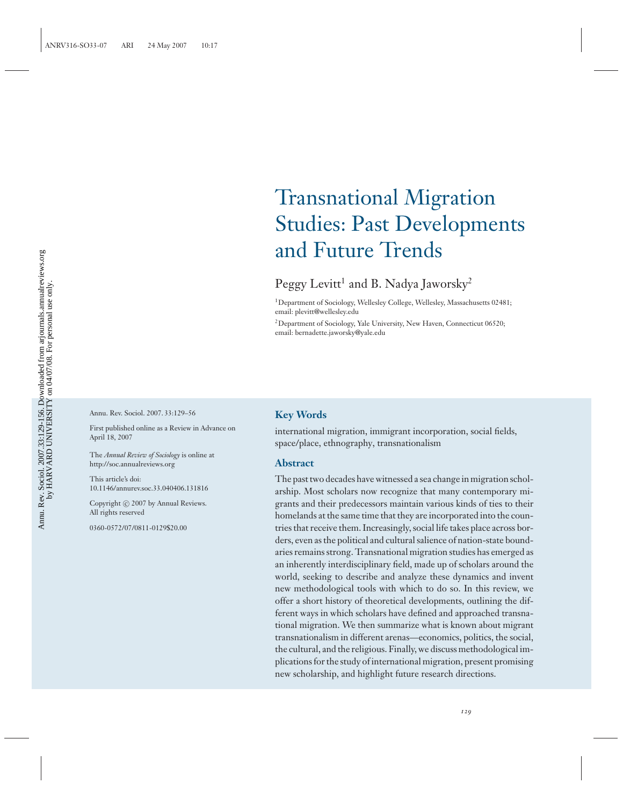## Transnational Migration Studies: Past Developments and Future Trends

## Peggy Levitt<sup>1</sup> and B. Nadya Jaworsky<sup>2</sup>

<sup>1</sup>Department of Sociology, Wellesley College, Wellesley, Massachusetts 02481; email: plevitt@wellesley.edu

<sup>2</sup>Department of Sociology, Yale University, New Haven, Connecticut 06520; email: bernadette.jaworsky@yale.edu

Annu. Rev. Sociol. 2007. 33:129–56

First published online as a Review in Advance on April 18, 2007

The *Annual Review of Sociology* is online at http://soc.annualreviews.org

This article's doi: 10.1146/annurev.soc.33.040406.131816

Copyright  $\odot$  2007 by Annual Reviews. All rights reserved

0360-0572/07/0811-0129\$20.00

## **Key Words**

international migration, immigrant incorporation, social fields, space/place, ethnography, transnationalism

#### **Abstract**

The past two decades have witnessed a sea change in migration scholarship. Most scholars now recognize that many contemporary migrants and their predecessors maintain various kinds of ties to their homelands at the same time that they are incorporated into the countries that receive them. Increasingly, social life takes place across borders, even as the political and cultural salience of nation-state boundaries remains strong. Transnational migration studies has emerged as an inherently interdisciplinary field, made up of scholars around the world, seeking to describe and analyze these dynamics and invent new methodological tools with which to do so. In this review, we offer a short history of theoretical developments, outlining the different ways in which scholars have defined and approached transnational migration. We then summarize what is known about migrant transnationalism in different arenas—economics, politics, the social, the cultural, and the religious. Finally, we discuss methodological implications for the study of international migration, present promising new scholarship, and highlight future research directions.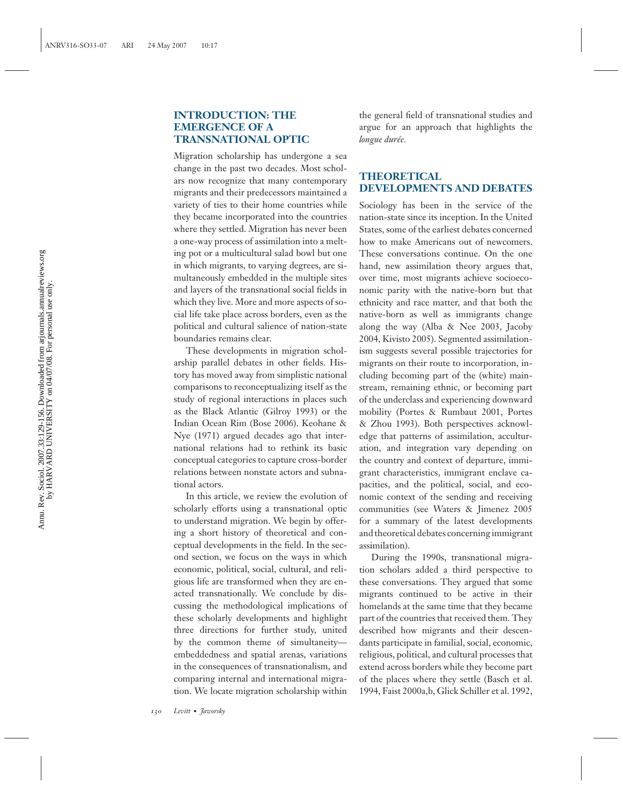## **INTRODUCTION: THE EMERGENCE OF A TRANSNATIONAL OPTIC**

Migration scholarship has undergone a sea change in the past two decades. Most scholars now recognize that many contemporary migrants and their predecessors maintained a variety of ties to their home countries while they became incorporated into the countries where they settled. Migration has never been a one-way process of assimilation into a melting pot or a multicultural salad bowl but one in which migrants, to varying degrees, are simultaneously embedded in the multiple sites and layers of the transnational social fields in which they live. More and more aspects of social life take place across borders, even as the political and cultural salience of nation-state boundaries remains clear.

These developments in migration scholarship parallel debates in other fields. History has moved away from simplistic national comparisons to reconceptualizing itself as the study of regional interactions in places such as the Black Atlantic (Gilroy 1993) or the Indian Ocean Rim (Bose 2006). Keohane & Nye (1971) argued decades ago that international relations had to rethink its basic conceptual categories to capture cross-border relations between nonstate actors and subnational actors.

In this article, we review the evolution of scholarly efforts using a transnational optic to understand migration. We begin by offering a short history of theoretical and conceptual developments in the field. In the second section, we focus on the ways in which economic, political, social, cultural, and religious life are transformed when they are enacted transnationally. We conclude by discussing the methodological implications of these scholarly developments and highlight three directions for further study, united by the common theme of simultaneity embeddedness and spatial arenas, variations in the consequences of transnationalism, and comparing internal and international migration. We locate migration scholarship within

the general field of transnational studies and argue for an approach that highlights the *longue durée.* 

## **THEORETICAL DEVELOPMENTS AND DEBATES**

Sociology has been in the service of the nation-state since its inception. In the United States, some of the earliest debates concerned how to make Americans out of newcomers. These conversations continue. On the one hand, new assimilation theory argues that, over time, most migrants achieve socioeconomic parity with the native-born but that ethnicity and race matter, and that both the native-born as well as immigrants change along the way (Alba & Nee 2003, Jacoby 2004, Kivisto 2005). Segmented assimilationism suggests several possible trajectories for migrants on their route to incorporation, including becoming part of the (white) mainstream, remaining ethnic, or becoming part of the underclass and experiencing downward mobility (Portes & Rumbaut 2001, Portes & Zhou 1993). Both perspectives acknowledge that patterns of assimilation, acculturation, and integration vary depending on the country and context of departure, immigrant characteristics, immigrant enclave capacities, and the political, social, and economic context of the sending and receiving communities (see Waters & Jimenez 2005 for a summary of the latest developments and theoretical debates concerning immigrant assimilation).

During the 1990s, transnational migration scholars added a third perspective to these conversations. They argued that some migrants continued to be active in their homelands at the same time that they became part of the countries that received them. They described how migrants and their descendants participate in familial, social, economic, religious, political, and cultural processes that extend across borders while they become part of the places where they settle (Basch et al. 1994, Faist 2000a,b, Glick Schiller et al. 1992,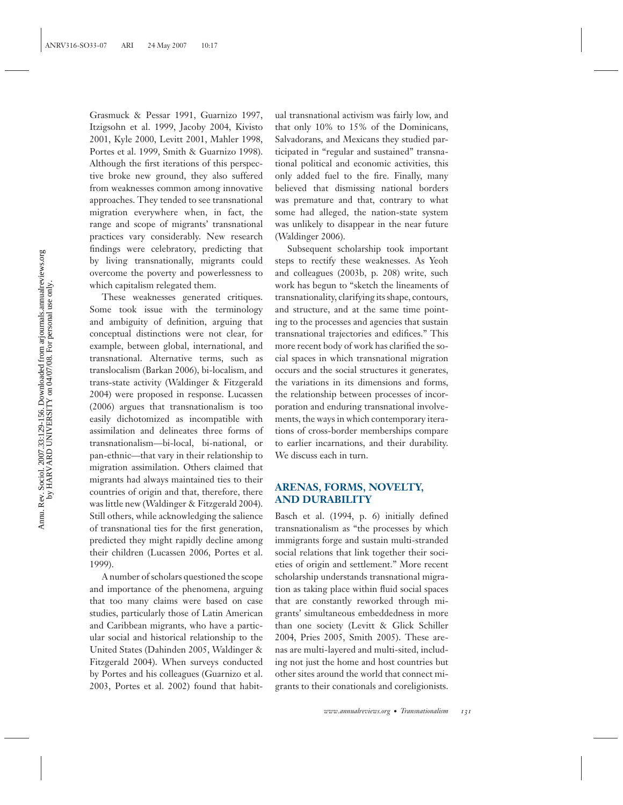Grasmuck & Pessar 1991, Guarnizo 1997, Itzigsohn et al. 1999, Jacoby 2004, Kivisto 2001, Kyle 2000, Levitt 2001, Mahler 1998, Portes et al. 1999, Smith & Guarnizo 1998). Although the first iterations of this perspective broke new ground, they also suffered from weaknesses common among innovative approaches. They tended to see transnational migration everywhere when, in fact, the range and scope of migrants' transnational practices vary considerably. New research findings were celebratory, predicting that by living transnationally, migrants could overcome the poverty and powerlessness to which capitalism relegated them. These weaknesses generated critiques. Some took issue with the terminology

and ambiguity of definition, arguing that conceptual distinctions were not clear, for example, between global, international, and transnational. Alternative terms, such as translocalism (Barkan 2006), bi-localism, and trans-state activity (Waldinger & Fitzgerald 2004) were proposed in response. Lucassen (2006) argues that transnationalism is too easily dichotomized as incompatible with assimilation and delineates three forms of transnationalism—bi-local, bi-national, or pan-ethnic—that vary in their relationship to migration assimilation. Others claimed that migrants had always maintained ties to their countries of origin and that, therefore, there was little new (Waldinger & Fitzgerald 2004). Still others, while acknowledging the salience of transnational ties for the first generation, predicted they might rapidly decline among their children (Lucassen 2006, Portes et al. 1999).

A number of scholars questioned the scope and importance of the phenomena, arguing that too many claims were based on case studies, particularly those of Latin American and Caribbean migrants, who have a particular social and historical relationship to the United States (Dahinden 2005, Waldinger & Fitzgerald 2004). When surveys conducted by Portes and his colleagues (Guarnizo et al. 2003, Portes et al. 2002) found that habitual transnational activism was fairly low, and that only 10% to 15% of the Dominicans, Salvadorans, and Mexicans they studied participated in "regular and sustained" transnational political and economic activities, this only added fuel to the fire. Finally, many believed that dismissing national borders was premature and that, contrary to what some had alleged, the nation-state system was unlikely to disappear in the near future (Waldinger 2006).

Subsequent scholarship took important steps to rectify these weaknesses. As Yeoh and colleagues (2003b, p. 208) write, such work has begun to "sketch the lineaments of transnationality, clarifying its shape, contours, and structure, and at the same time pointing to the processes and agencies that sustain transnational trajectories and edifices." This more recent body of work has clarified the social spaces in which transnational migration occurs and the social structures it generates, the variations in its dimensions and forms, the relationship between processes of incorporation and enduring transnational involvements, the ways in which contemporary iterations of cross-border memberships compare to earlier incarnations, and their durability. We discuss each in turn.

## **ARENAS, FORMS, NOVELTY, AND DURABILITY**

Basch et al. (1994, p. 6) initially defined transnationalism as "the processes by which immigrants forge and sustain multi-stranded social relations that link together their societies of origin and settlement." More recent scholarship understands transnational migration as taking place within fluid social spaces that are constantly reworked through migrants' simultaneous embeddedness in more than one society (Levitt & Glick Schiller 2004, Pries 2005, Smith 2005). These arenas are multi-layered and multi-sited, including not just the home and host countries but other sites around the world that connect migrants to their conationals and coreligionists.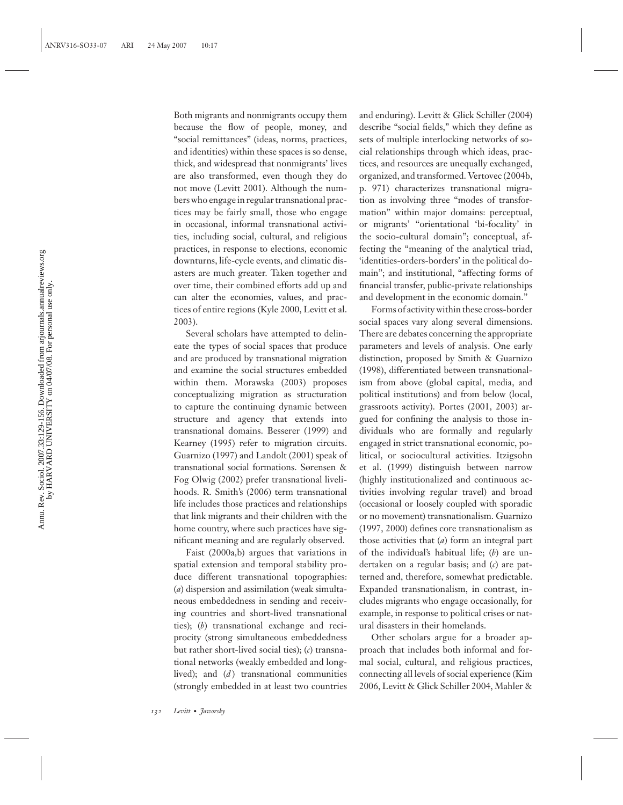Both migrants and nonmigrants occupy them because the flow of people, money, and "social remittances" (ideas, norms, practices, and identities) within these spaces is so dense, thick, and widespread that nonmigrants' lives are also transformed, even though they do not move (Levitt 2001). Although the numbers who engage in regular transnational practices may be fairly small, those who engage in occasional, informal transnational activities, including social, cultural, and religious practices, in response to elections, economic downturns, life-cycle events, and climatic disasters are much greater. Taken together and over time, their combined efforts add up and can alter the economies, values, and practices of entire regions (Kyle 2000, Levitt et al. 2003).

Several scholars have attempted to delineate the types of social spaces that produce and are produced by transnational migration and examine the social structures embedded within them. Morawska (2003) proposes conceptualizing migration as structuration to capture the continuing dynamic between structure and agency that extends into transnational domains. Besserer (1999) and Kearney (1995) refer to migration circuits. Guarnizo (1997) and Landolt (2001) speak of transnational social formations. Sørensen & Fog Olwig (2002) prefer transnational livelihoods. R. Smith's (2006) term transnational life includes those practices and relationships that link migrants and their children with the home country, where such practices have significant meaning and are regularly observed.

Faist (2000a,b) argues that variations in spatial extension and temporal stability produce different transnational topographies: (*a*) dispersion and assimilation (weak simultaneous embeddedness in sending and receiving countries and short-lived transnational ties); (*b*) transnational exchange and reciprocity (strong simultaneous embeddedness but rather short-lived social ties); (*c*) transnational networks (weakly embedded and longlived); and (*d*) transnational communities (strongly embedded in at least two countries

and enduring). Levitt & Glick Schiller (2004) describe "social fields," which they define as sets of multiple interlocking networks of social relationships through which ideas, practices, and resources are unequally exchanged, organized, and transformed. Vertovec (2004b, p. 971) characterizes transnational migration as involving three "modes of transformation" within major domains: perceptual, or migrants' "orientational 'bi-focality' in the socio-cultural domain"; conceptual, affecting the "meaning of the analytical triad, 'identities-orders-borders' in the political domain"; and institutional, "affecting forms of financial transfer, public-private relationships and development in the economic domain."

Forms of activity within these cross-border social spaces vary along several dimensions. There are debates concerning the appropriate parameters and levels of analysis. One early distinction, proposed by Smith & Guarnizo (1998), differentiated between transnationalism from above (global capital, media, and political institutions) and from below (local, grassroots activity). Portes (2001, 2003) argued for confining the analysis to those individuals who are formally and regularly engaged in strict transnational economic, political, or sociocultural activities. Itzigsohn et al. (1999) distinguish between narrow (highly institutionalized and continuous activities involving regular travel) and broad (occasional or loosely coupled with sporadic or no movement) transnationalism. Guarnizo (1997, 2000) defines core transnationalism as those activities that (*a*) form an integral part of the individual's habitual life; (*b*) are undertaken on a regular basis; and (*c*) are patterned and, therefore, somewhat predictable. Expanded transnationalism, in contrast, includes migrants who engage occasionally, for example, in response to political crises or natural disasters in their homelands.

Other scholars argue for a broader approach that includes both informal and formal social, cultural, and religious practices, connecting all levels of social experience (Kim 2006, Levitt & Glick Schiller 2004, Mahler &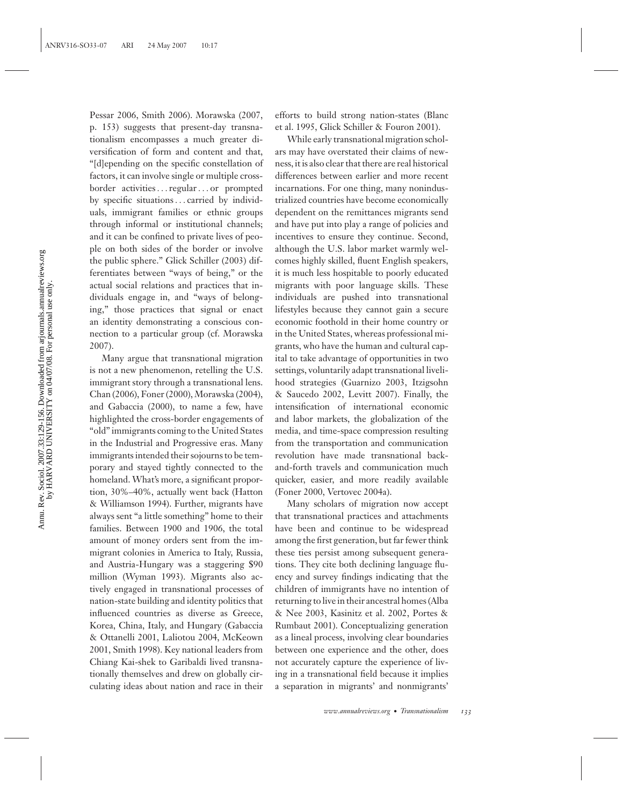Pessar 2006, Smith 2006). Morawska (2007, p. 153) suggests that present-day transnationalism encompasses a much greater diversification of form and content and that, "[d]epending on the specific constellation of factors, it can involve single or multiple crossborder activities...regular... or prompted by specific situations... carried by individuals, immigrant families or ethnic groups through informal or institutional channels; and it can be confined to private lives of people on both sides of the border or involve the public sphere." Glick Schiller (2003) differentiates between "ways of being," or the actual social relations and practices that individuals engage in, and "ways of belonging," those practices that signal or enact an identity demonstrating a conscious connection to a particular group (cf. Morawska 2007).

Many argue that transnational migration is not a new phenomenon, retelling the U.S. immigrant story through a transnational lens. Chan (2006), Foner (2000), Morawska (2004), and Gabaccia (2000), to name a few, have highlighted the cross-border engagements of "old" immigrants coming to the United States in the Industrial and Progressive eras. Many immigrants intended their sojourns to be temporary and stayed tightly connected to the homeland. What's more, a significant proportion, 30%–40%, actually went back (Hatton & Williamson 1994). Further, migrants have always sent "a little something" home to their families. Between 1900 and 1906, the total amount of money orders sent from the immigrant colonies in America to Italy, Russia, and Austria-Hungary was a staggering \$90 million (Wyman 1993). Migrants also actively engaged in transnational processes of nation-state building and identity politics that influenced countries as diverse as Greece, Korea, China, Italy, and Hungary (Gabaccia & Ottanelli 2001, Laliotou 2004, McKeown 2001, Smith 1998). Key national leaders from Chiang Kai-shek to Garibaldi lived transnationally themselves and drew on globally circulating ideas about nation and race in their

efforts to build strong nation-states (Blanc et al. 1995, Glick Schiller & Fouron 2001).

While early transnational migration scholars may have overstated their claims of newness, it is also clear that there are real historical differences between earlier and more recent incarnations. For one thing, many nonindustrialized countries have become economically dependent on the remittances migrants send and have put into play a range of policies and incentives to ensure they continue. Second, although the U.S. labor market warmly welcomes highly skilled, fluent English speakers, it is much less hospitable to poorly educated migrants with poor language skills. These individuals are pushed into transnational lifestyles because they cannot gain a secure economic foothold in their home country or in the United States, whereas professional migrants, who have the human and cultural capital to take advantage of opportunities in two settings, voluntarily adapt transnational livelihood strategies (Guarnizo 2003, Itzigsohn & Saucedo 2002, Levitt 2007). Finally, the intensification of international economic and labor markets, the globalization of the media, and time-space compression resulting from the transportation and communication revolution have made transnational backand-forth travels and communication much quicker, easier, and more readily available (Foner 2000, Vertovec 2004a).

Many scholars of migration now accept that transnational practices and attachments have been and continue to be widespread among the first generation, but far fewer think these ties persist among subsequent generations. They cite both declining language fluency and survey findings indicating that the children of immigrants have no intention of returning to live in their ancestral homes (Alba & Nee 2003, Kasinitz et al. 2002, Portes & Rumbaut 2001). Conceptualizing generation as a lineal process, involving clear boundaries between one experience and the other, does not accurately capture the experience of living in a transnational field because it implies a separation in migrants' and nonmigrants'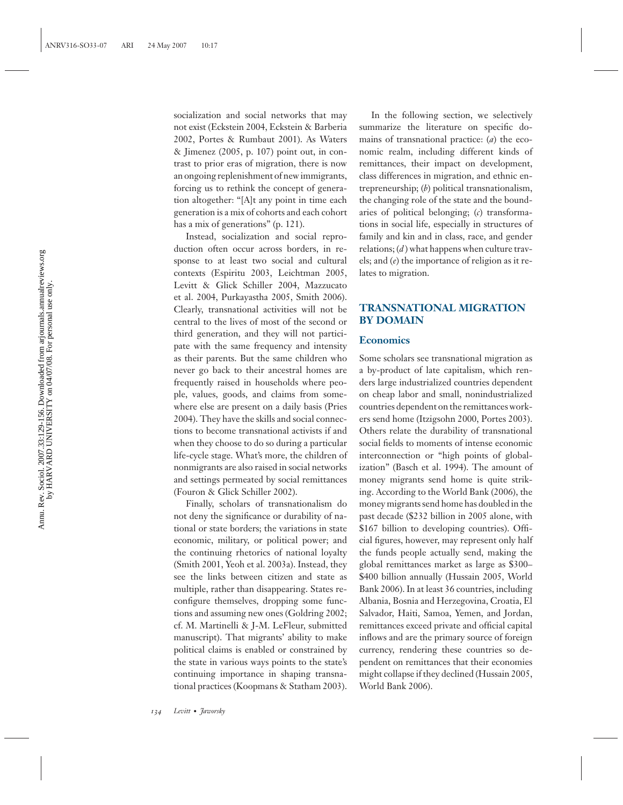*134 Levitt* · *Jaworsky*

socialization and social networks that may not exist (Eckstein 2004, Eckstein & Barberia 2002, Portes & Rumbaut 2001). As Waters & Jimenez (2005, p. 107) point out, in contrast to prior eras of migration, there is now an ongoing replenishment of new immigrants, forcing us to rethink the concept of generation altogether: "[A]t any point in time each generation is a mix of cohorts and each cohort has a mix of generations" (p. 121).

Instead, socialization and social reproduction often occur across borders, in response to at least two social and cultural contexts (Espiritu 2003, Leichtman 2005, Levitt & Glick Schiller 2004, Mazzucato et al. 2004, Purkayastha 2005, Smith 2006). Clearly, transnational activities will not be central to the lives of most of the second or third generation, and they will not participate with the same frequency and intensity as their parents. But the same children who never go back to their ancestral homes are frequently raised in households where people, values, goods, and claims from somewhere else are present on a daily basis (Pries 2004). They have the skills and social connections to become transnational activists if and when they choose to do so during a particular life-cycle stage. What's more, the children of nonmigrants are also raised in social networks and settings permeated by social remittances (Fouron & Glick Schiller 2002).

Finally, scholars of transnationalism do not deny the significance or durability of national or state borders; the variations in state economic, military, or political power; and the continuing rhetorics of national loyalty (Smith 2001, Yeoh et al. 2003a). Instead, they see the links between citizen and state as multiple, rather than disappearing. States reconfigure themselves, dropping some functions and assuming new ones (Goldring 2002; cf. M. Martinelli & J-M. LeFleur, submitted manuscript). That migrants' ability to make political claims is enabled or constrained by the state in various ways points to the state's continuing importance in shaping transnational practices (Koopmans & Statham 2003).

In the following section, we selectively summarize the literature on specific domains of transnational practice: (*a*) the economic realm, including different kinds of remittances, their impact on development, class differences in migration, and ethnic entrepreneurship; (*b*) political transnationalism, the changing role of the state and the boundaries of political belonging; (*c*) transformations in social life, especially in structures of family and kin and in class, race, and gender relations; (*d* ) what happens when culture travels; and (*e*) the importance of religion as it relates to migration.

## **TRANSNATIONAL MIGRATION BY DOMAIN**

#### **Economics**

Some scholars see transnational migration as a by-product of late capitalism, which renders large industrialized countries dependent on cheap labor and small, nonindustrialized countries dependent on the remittances workers send home (Itzigsohn 2000, Portes 2003). Others relate the durability of transnational social fields to moments of intense economic interconnection or "high points of globalization" (Basch et al. 1994). The amount of money migrants send home is quite striking. According to the World Bank (2006), the money migrants send home has doubled in the past decade (\$232 billion in 2005 alone, with \$167 billion to developing countries). Official figures, however, may represent only half the funds people actually send, making the global remittances market as large as \$300– \$400 billion annually (Hussain 2005, World Bank 2006). In at least 36 countries, including Albania, Bosnia and Herzegovina, Croatia, El Salvador, Haiti, Samoa, Yemen, and Jordan, remittances exceed private and official capital inflows and are the primary source of foreign currency, rendering these countries so dependent on remittances that their economies might collapse if they declined (Hussain 2005, World Bank 2006).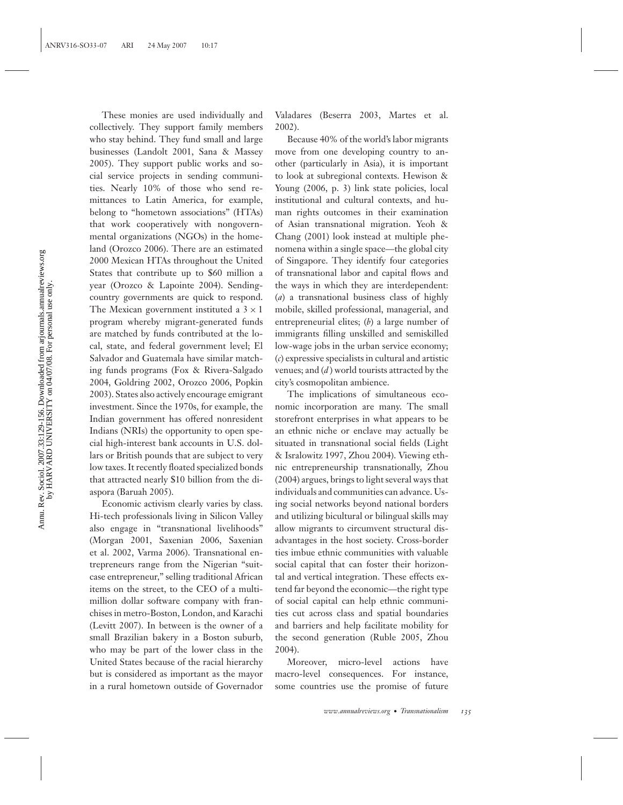These monies are used individually and collectively. They support family members who stay behind. They fund small and large businesses (Landolt 2001, Sana & Massey 2005). They support public works and social service projects in sending communities. Nearly 10% of those who send remittances to Latin America, for example, belong to "hometown associations" (HTAs) that work cooperatively with nongovernmental organizations (NGOs) in the homeland (Orozco 2006). There are an estimated 2000 Mexican HTAs throughout the United States that contribute up to \$60 million a year (Orozco & Lapointe 2004). Sendingcountry governments are quick to respond. The Mexican government instituted a  $3 \times 1$ program whereby migrant-generated funds are matched by funds contributed at the local, state, and federal government level; El Salvador and Guatemala have similar matching funds programs (Fox & Rivera-Salgado 2004, Goldring 2002, Orozco 2006, Popkin 2003). States also actively encourage emigrant investment. Since the 1970s, for example, the Indian government has offered nonresident Indians (NRIs) the opportunity to open special high-interest bank accounts in U.S. dollars or British pounds that are subject to very low taxes. It recently floated specialized bonds that attracted nearly \$10 billion from the diaspora (Baruah 2005).

Economic activism clearly varies by class. Hi-tech professionals living in Silicon Valley also engage in "transnational livelihoods" (Morgan 2001, Saxenian 2006, Saxenian et al. 2002, Varma 2006). Transnational entrepreneurs range from the Nigerian "suitcase entrepreneur," selling traditional African items on the street, to the CEO of a multimillion dollar software company with franchises in metro-Boston, London, and Karachi (Levitt 2007). In between is the owner of a small Brazilian bakery in a Boston suburb, who may be part of the lower class in the United States because of the racial hierarchy but is considered as important as the mayor in a rural hometown outside of Governador

Valadares (Beserra 2003, Martes et al. 2002).

Because 40% of the world's labor migrants move from one developing country to another (particularly in Asia), it is important to look at subregional contexts. Hewison & Young (2006, p. 3) link state policies, local institutional and cultural contexts, and human rights outcomes in their examination of Asian transnational migration. Yeoh & Chang (2001) look instead at multiple phenomena within a single space—the global city of Singapore. They identify four categories of transnational labor and capital flows and the ways in which they are interdependent: (*a*) a transnational business class of highly mobile, skilled professional, managerial, and entrepreneurial elites; (*b*) a large number of immigrants filling unskilled and semiskilled low-wage jobs in the urban service economy; (*c*) expressive specialists in cultural and artistic venues; and (*d* ) world tourists attracted by the city's cosmopolitan ambience.

The implications of simultaneous economic incorporation are many. The small storefront enterprises in what appears to be an ethnic niche or enclave may actually be situated in transnational social fields (Light & Isralowitz 1997, Zhou 2004). Viewing ethnic entrepreneurship transnationally, Zhou (2004) argues, brings to light several ways that individuals and communities can advance. Using social networks beyond national borders and utilizing bicultural or bilingual skills may allow migrants to circumvent structural disadvantages in the host society. Cross-border ties imbue ethnic communities with valuable social capital that can foster their horizontal and vertical integration. These effects extend far beyond the economic—the right type of social capital can help ethnic communities cut across class and spatial boundaries and barriers and help facilitate mobility for the second generation (Ruble 2005, Zhou 2004).

Moreover, micro-level actions have macro-level consequences. For instance, some countries use the promise of future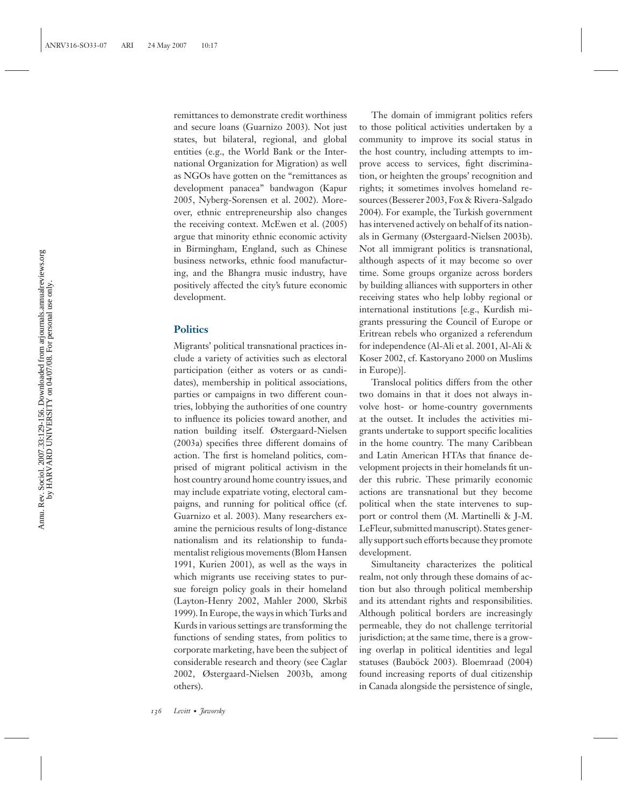remittances to demonstrate credit worthiness and secure loans (Guarnizo 2003). Not just states, but bilateral, regional, and global entities (e.g., the World Bank or the International Organization for Migration) as well as NGOs have gotten on the "remittances as development panacea" bandwagon (Kapur 2005, Nyberg-Sorensen et al. 2002). Moreover, ethnic entrepreneurship also changes the receiving context. McEwen et al. (2005) argue that minority ethnic economic activity in Birmingham, England, such as Chinese business networks, ethnic food manufacturing, and the Bhangra music industry, have positively affected the city's future economic development.

#### **Politics**

Migrants' political transnational practices include a variety of activities such as electoral participation (either as voters or as candidates), membership in political associations, parties or campaigns in two different countries, lobbying the authorities of one country to influence its policies toward another, and nation building itself. Østergaard-Nielsen (2003a) specifies three different domains of action. The first is homeland politics, comprised of migrant political activism in the host country around home country issues, and may include expatriate voting, electoral campaigns, and running for political office (cf. Guarnizo et al. 2003). Many researchers examine the pernicious results of long-distance nationalism and its relationship to fundamentalist religious movements (Blom Hansen 1991, Kurien 2001), as well as the ways in which migrants use receiving states to pursue foreign policy goals in their homeland (Layton-Henry 2002, Mahler 2000, Skrbiš 1999). In Europe, the ways in which Turks and Kurds in various settings are transforming the functions of sending states, from politics to corporate marketing, have been the subject of considerable research and theory (see Caglar 2002, Østergaard-Nielsen 2003b, among others).

The domain of immigrant politics refers to those political activities undertaken by a community to improve its social status in the host country, including attempts to improve access to services, fight discrimination, or heighten the groups' recognition and rights; it sometimes involves homeland resources (Besserer 2003, Fox & Rivera-Salgado 2004). For example, the Turkish government has intervened actively on behalf of its nationals in Germany (Østergaard-Nielsen 2003b). Not all immigrant politics is transnational, although aspects of it may become so over time. Some groups organize across borders by building alliances with supporters in other receiving states who help lobby regional or international institutions [e.g., Kurdish migrants pressuring the Council of Europe or Eritrean rebels who organized a referendum for independence (Al-Ali et al. 2001, Al-Ali & Koser 2002, cf. Kastoryano 2000 on Muslims in Europe)].

Translocal politics differs from the other two domains in that it does not always involve host- or home-country governments at the outset. It includes the activities migrants undertake to support specific localities in the home country. The many Caribbean and Latin American HTAs that finance development projects in their homelands fit under this rubric. These primarily economic actions are transnational but they become political when the state intervenes to support or control them (M. Martinelli & J-M. LeFleur, submitted manuscript). States generally support such efforts because they promote development.

Simultaneity characterizes the political realm, not only through these domains of action but also through political membership and its attendant rights and responsibilities. Although political borders are increasingly permeable, they do not challenge territorial jurisdiction; at the same time, there is a growing overlap in political identities and legal statuses (Bauböck 2003). Bloemraad (2004) found increasing reports of dual citizenship in Canada alongside the persistence of single,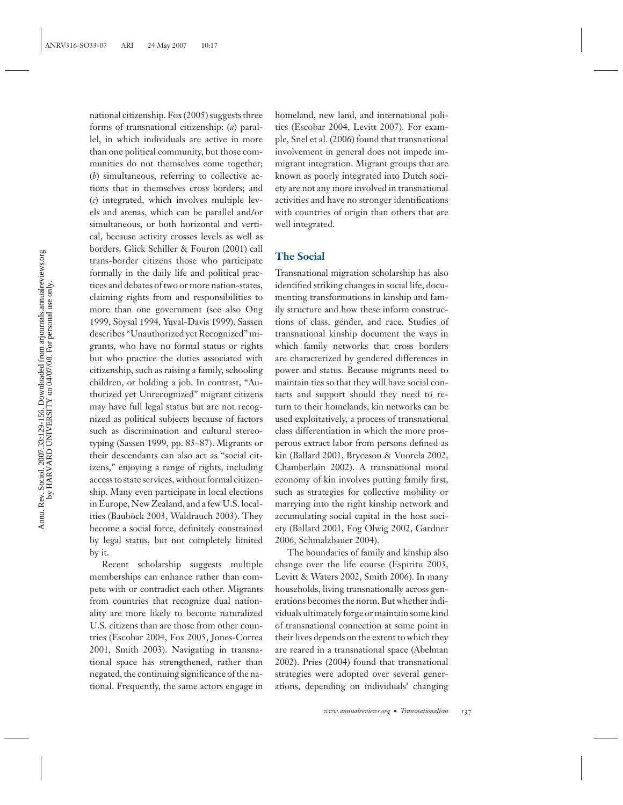national citizenship. Fox (2005) suggests three forms of transnational citizenship: (*a*) parallel, in which individuals are active in more than one political community, but those communities do not themselves come together; (*b*) simultaneous, referring to collective actions that in themselves cross borders; and (*c*) integrated, which involves multiple levels and arenas, which can be parallel and/or simultaneous, or both horizontal and vertical, because activity crosses levels as well as borders. Glick Schiller & Fouron (2001) call trans-border citizens those who participate formally in the daily life and political practices and debates of two or more nation-states, claiming rights from and responsibilities to more than one government (see also Ong 1999, Soysal 1994, Yuval-Davis 1999). Sassen describes "Unauthorized yet Recognized" migrants, who have no formal status or rights but who practice the duties associated with citizenship, such as raising a family, schooling children, or holding a job. In contrast, "Authorized yet Unrecognized" migrant citizens may have full legal status but are not recognized as political subjects because of factors such as discrimination and cultural stereotyping (Sassen 1999, pp. 85–87). Migrants or their descendants can also act as "social citizens," enjoying a range of rights, including access to state services, without formal citizenship. Many even participate in local elections in Europe, New Zealand, and a few U.S. localities (Bauböck 2003, Waldrauch 2003). They become a social force, definitely constrained by legal status, but not completely limited by it.

Recent scholarship suggests multiple memberships can enhance rather than compete with or contradict each other. Migrants from countries that recognize dual nationality are more likely to become naturalized U.S. citizens than are those from other countries (Escobar 2004, Fox 2005, Jones-Correa 2001, Smith 2003). Navigating in transnational space has strengthened, rather than negated, the continuing significance of the national. Frequently, the same actors engage in homeland, new land, and international politics (Escobar 2004, Levitt 2007). For example, Snel et al. (2006) found that transnational involvement in general does not impede immigrant integration. Migrant groups that are known as poorly integrated into Dutch society are not any more involved in transnational activities and have no stronger identifications with countries of origin than others that are well integrated.

## **The Social**

Transnational migration scholarship has also identified striking changes in social life, documenting transformations in kinship and family structure and how these inform constructions of class, gender, and race. Studies of transnational kinship document the ways in which family networks that cross borders are characterized by gendered differences in power and status. Because migrants need to maintain ties so that they will have social contacts and support should they need to return to their homelands, kin networks can be used exploitatively, a process of transnational class differentiation in which the more prosperous extract labor from persons defined as kin (Ballard 2001, Bryceson & Vuorela 2002, Chamberlain 2002). A transnational moral economy of kin involves putting family first, such as strategies for collective mobility or marrying into the right kinship network and accumulating social capital in the host society (Ballard 2001, Fog Olwig 2002, Gardner 2006, Schmalzbauer 2004).

The boundaries of family and kinship also change over the life course (Espiritu 2003, Levitt & Waters 2002, Smith 2006). In many households, living transnationally across generations becomes the norm. But whether individuals ultimately forge or maintain some kind of transnational connection at some point in their lives depends on the extent to which they are reared in a transnational space (Abelman 2002). Pries (2004) found that transnational strategies were adopted over several generations, depending on individuals' changing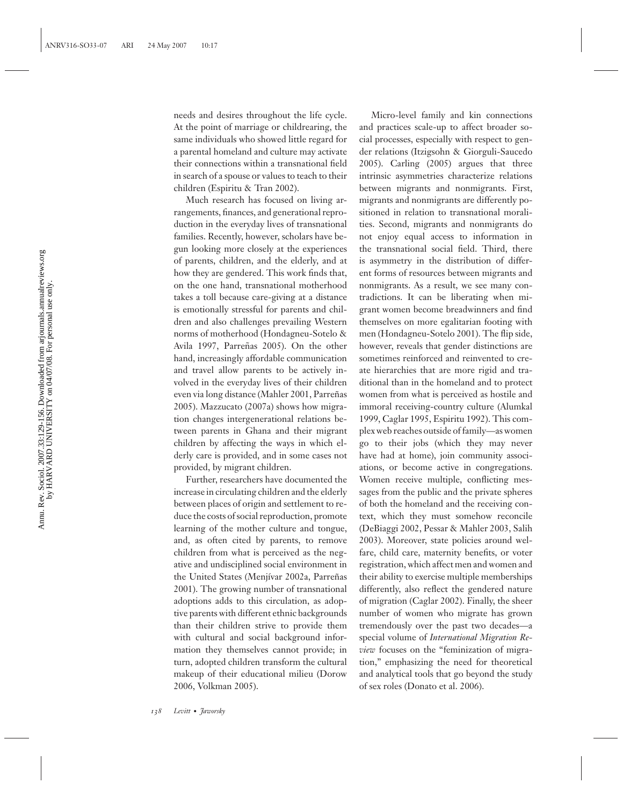needs and desires throughout the life cycle. At the point of marriage or childrearing, the same individuals who showed little regard for a parental homeland and culture may activate their connections within a transnational field in search of a spouse or values to teach to their children (Espiritu & Tran 2002).

Much research has focused on living arrangements, finances, and generational reproduction in the everyday lives of transnational families. Recently, however, scholars have begun looking more closely at the experiences of parents, children, and the elderly, and at how they are gendered. This work finds that, on the one hand, transnational motherhood takes a toll because care-giving at a distance is emotionally stressful for parents and children and also challenges prevailing Western norms of motherhood (Hondagneu-Sotelo & Avila 1997, Parreñas 2005). On the other hand, increasingly affordable communication and travel allow parents to be actively involved in the everyday lives of their children even via long distance (Mahler 2001, Parreñas 2005). Mazzucato (2007a) shows how migration changes intergenerational relations between parents in Ghana and their migrant children by affecting the ways in which elderly care is provided, and in some cases not provided, by migrant children.

Further, researchers have documented the increase in circulating children and the elderly between places of origin and settlement to reduce the costs of social reproduction, promote learning of the mother culture and tongue, and, as often cited by parents, to remove children from what is perceived as the negative and undisciplined social environment in the United States (Menjívar 2002a, Parreñas 2001). The growing number of transnational adoptions adds to this circulation, as adoptive parents with different ethnic backgrounds than their children strive to provide them with cultural and social background information they themselves cannot provide; in turn, adopted children transform the cultural makeup of their educational milieu (Dorow 2006, Volkman 2005).

Micro-level family and kin connections and practices scale-up to affect broader social processes, especially with respect to gender relations (Itzigsohn & Giorguli-Saucedo 2005). Carling (2005) argues that three intrinsic asymmetries characterize relations between migrants and nonmigrants. First, migrants and nonmigrants are differently positioned in relation to transnational moralities. Second, migrants and nonmigrants do not enjoy equal access to information in the transnational social field. Third, there is asymmetry in the distribution of different forms of resources between migrants and nonmigrants. As a result, we see many contradictions. It can be liberating when migrant women become breadwinners and find themselves on more egalitarian footing with men (Hondagneu-Sotelo 2001). The flip side, however, reveals that gender distinctions are sometimes reinforced and reinvented to create hierarchies that are more rigid and traditional than in the homeland and to protect women from what is perceived as hostile and immoral receiving-country culture (Alumkal 1999, Caglar 1995, Espiritu 1992). This complex web reaches outside of family—as women go to their jobs (which they may never have had at home), join community associations, or become active in congregations. Women receive multiple, conflicting messages from the public and the private spheres of both the homeland and the receiving context, which they must somehow reconcile (DeBiaggi 2002, Pessar & Mahler 2003, Salih 2003). Moreover, state policies around welfare, child care, maternity benefits, or voter registration, which affect men and women and their ability to exercise multiple memberships differently, also reflect the gendered nature of migration (Caglar 2002). Finally, the sheer number of women who migrate has grown tremendously over the past two decades—a special volume of *International Migration Review* focuses on the "feminization of migration," emphasizing the need for theoretical and analytical tools that go beyond the study of sex roles (Donato et al. 2006).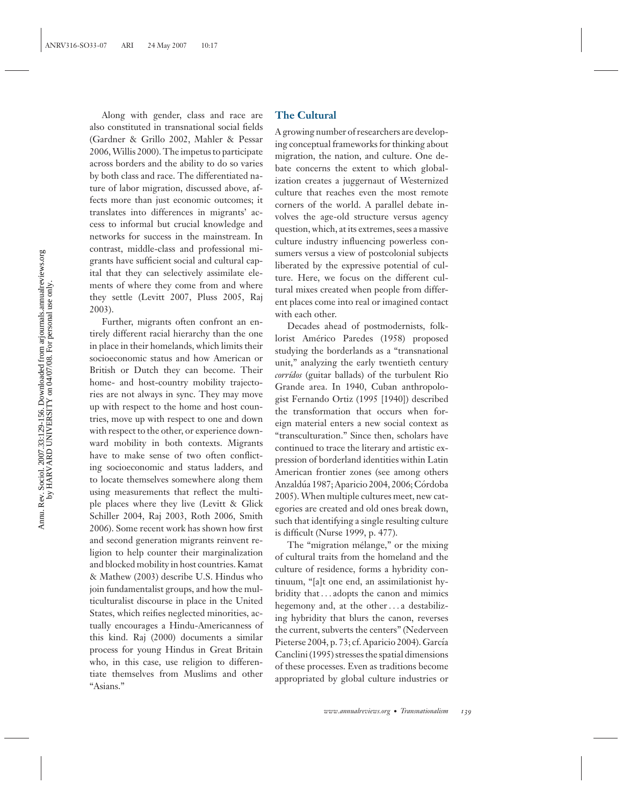Along with gender, class and race are also constituted in transnational social fields (Gardner & Grillo 2002, Mahler & Pessar 2006, Willis 2000). The impetus to participate across borders and the ability to do so varies by both class and race. The differentiated nature of labor migration, discussed above, affects more than just economic outcomes; it translates into differences in migrants' access to informal but crucial knowledge and networks for success in the mainstream. In contrast, middle-class and professional migrants have sufficient social and cultural capital that they can selectively assimilate elements of where they come from and where they settle (Levitt 2007, Pluss 2005, Raj 2003).

Further, migrants often confront an entirely different racial hierarchy than the one in place in their homelands, which limits their socioeconomic status and how American or British or Dutch they can become. Their home- and host-country mobility trajectories are not always in sync. They may move up with respect to the home and host countries, move up with respect to one and down with respect to the other, or experience downward mobility in both contexts. Migrants have to make sense of two often conflicting socioeconomic and status ladders, and to locate themselves somewhere along them using measurements that reflect the multiple places where they live (Levitt & Glick Schiller 2004, Raj 2003, Roth 2006, Smith 2006). Some recent work has shown how first and second generation migrants reinvent religion to help counter their marginalization and blocked mobility in host countries. Kamat & Mathew (2003) describe U.S. Hindus who join fundamentalist groups, and how the multiculturalist discourse in place in the United States, which reifies neglected minorities, actually encourages a Hindu-Americanness of this kind. Raj (2000) documents a similar process for young Hindus in Great Britain who, in this case, use religion to differentiate themselves from Muslims and other "Asians."

#### **The Cultural**

A growing number of researchers are developing conceptual frameworks for thinking about migration, the nation, and culture. One debate concerns the extent to which globalization creates a juggernaut of Westernized culture that reaches even the most remote corners of the world. A parallel debate involves the age-old structure versus agency question, which, at its extremes, sees a massive culture industry influencing powerless consumers versus a view of postcolonial subjects liberated by the expressive potential of culture. Here, we focus on the different cultural mixes created when people from different places come into real or imagined contact with each other.

Decades ahead of postmodernists, folklorist Américo Paredes (1958) proposed studying the borderlands as a "transnational unit," analyzing the early twentieth century *corr´ıdos* (guitar ballads) of the turbulent Rio Grande area. In 1940, Cuban anthropologist Fernando Ortiz (1995 [1940]) described the transformation that occurs when foreign material enters a new social context as "transculturation." Since then, scholars have continued to trace the literary and artistic expression of borderland identities within Latin American frontier zones (see among others Anzaldúa 1987; Aparicio 2004, 2006; Córdoba 2005). When multiple cultures meet, new categories are created and old ones break down, such that identifying a single resulting culture is difficult (Nurse 1999, p. 477).

The "migration mélange," or the mixing of cultural traits from the homeland and the culture of residence, forms a hybridity continuum, "[a]t one end, an assimilationist hybridity that ... adopts the canon and mimics hegemony and, at the other... a destabilizing hybridity that blurs the canon, reverses the current, subverts the centers" (Nederveen Pieterse 2004, p. 73; cf. Aparicio 2004). García Canclini (1995) stresses the spatial dimensions of these processes. Even as traditions become appropriated by global culture industries or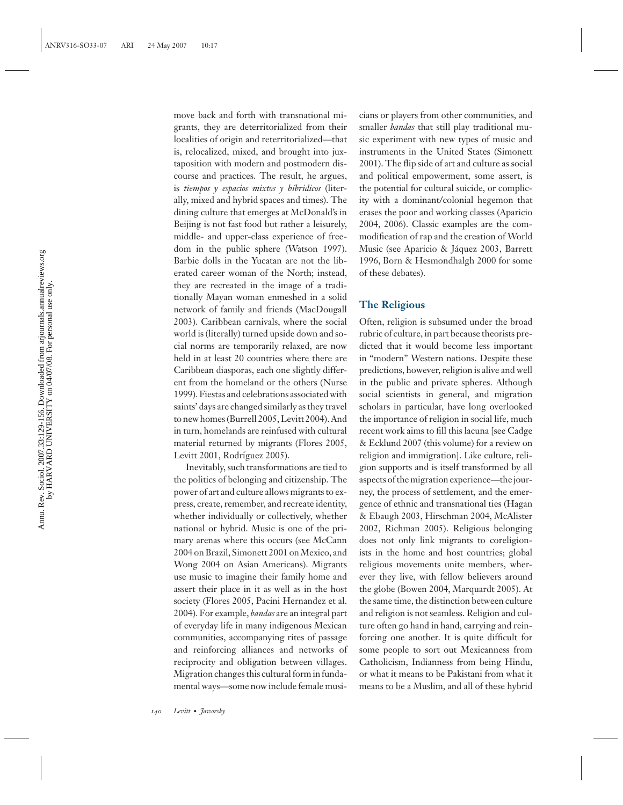Annu. Rev. Sociol. 2007.33:129-156. Downloaded from arjournals.amualreviews.org<br>by HARVARD UNIVERSITY on 04/07/08. For personal use only. Annu. Rev. Sociol. 2007.33:129-156. Downloaded from arjournals.annualreviews.org by HARVARD UNIVERSITY on 04/07/08. For personal use only. move back and forth with transnational migrants, they are deterritorialized from their localities of origin and reterritorialized—that is, relocalized, mixed, and brought into juxtaposition with modern and postmodern discourse and practices. The result, he argues, is *tiempos* y espacios mixtos y híbridicos (literally, mixed and hybrid spaces and times). The dining culture that emerges at McDonald's in Beijing is not fast food but rather a leisurely, middle- and upper-class experience of freedom in the public sphere (Watson 1997). Barbie dolls in the Yucatan are not the liberated career woman of the North; instead, they are recreated in the image of a traditionally Mayan woman enmeshed in a solid network of family and friends (MacDougall 2003). Caribbean carnivals, where the social world is (literally) turned upside down and social norms are temporarily relaxed, are now held in at least 20 countries where there are Caribbean diasporas, each one slightly different from the homeland or the others (Nurse 1999). Fiestas and celebrations associated with saints' days are changed similarly as they travel to new homes (Burrell 2005, Levitt 2004). And in turn, homelands are reinfused with cultural material returned by migrants (Flores 2005, Levitt 2001, Rodríguez 2005).

Inevitably, such transformations are tied to the politics of belonging and citizenship. The power of art and culture allows migrants to express, create, remember, and recreate identity, whether individually or collectively, whether national or hybrid. Music is one of the primary arenas where this occurs (see McCann 2004 on Brazil, Simonett 2001 on Mexico, and Wong 2004 on Asian Americans). Migrants use music to imagine their family home and assert their place in it as well as in the host society (Flores 2005, Pacini Hernandez et al. 2004). For example, *bandas* are an integral part of everyday life in many indigenous Mexican communities, accompanying rites of passage and reinforcing alliances and networks of reciprocity and obligation between villages. Migration changes this cultural form in fundamental ways—some now include female musicians or players from other communities, and smaller *bandas* that still play traditional music experiment with new types of music and instruments in the United States (Simonett 2001). The flip side of art and culture as social and political empowerment, some assert, is the potential for cultural suicide, or complicity with a dominant/colonial hegemon that erases the poor and working classes (Aparicio 2004, 2006). Classic examples are the commodification of rap and the creation of World Music (see Aparicio & Jáquez 2003, Barrett 1996, Born & Hesmondhalgh 2000 for some of these debates).

## **The Religious**

Often, religion is subsumed under the broad rubric of culture, in part because theorists predicted that it would become less important in "modern" Western nations. Despite these predictions, however, religion is alive and well in the public and private spheres. Although social scientists in general, and migration scholars in particular, have long overlooked the importance of religion in social life, much recent work aims to fill this lacuna [see Cadge & Ecklund 2007 (this volume) for a review on religion and immigration]. Like culture, religion supports and is itself transformed by all aspects of the migration experience—the journey, the process of settlement, and the emergence of ethnic and transnational ties (Hagan & Ebaugh 2003, Hirschman 2004, McAlister 2002, Richman 2005). Religious belonging does not only link migrants to coreligionists in the home and host countries; global religious movements unite members, wherever they live, with fellow believers around the globe (Bowen 2004, Marquardt 2005). At the same time, the distinction between culture and religion is not seamless. Religion and culture often go hand in hand, carrying and reinforcing one another. It is quite difficult for some people to sort out Mexicanness from Catholicism, Indianness from being Hindu, or what it means to be Pakistani from what it means to be a Muslim, and all of these hybrid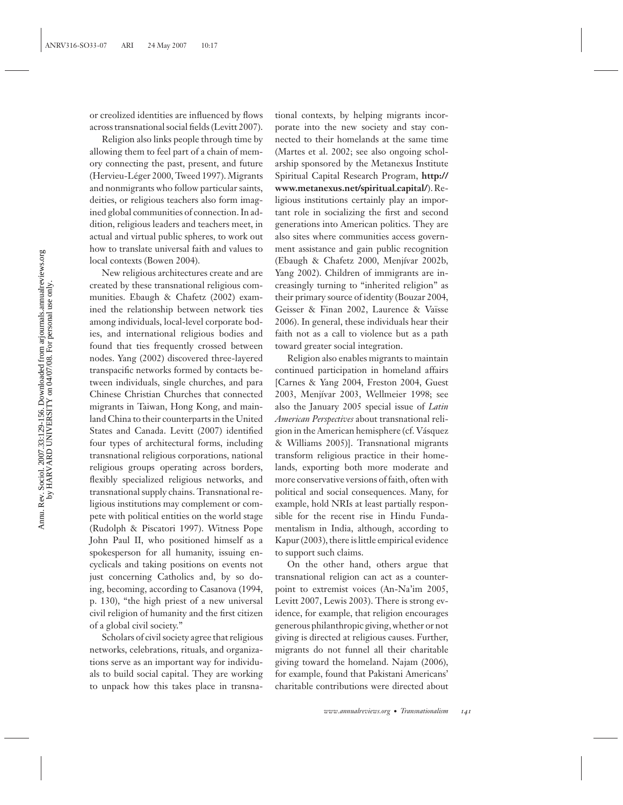or creolized identities are influenced by flows across transnational social fields (Levitt 2007).

Religion also links people through time by allowing them to feel part of a chain of memory connecting the past, present, and future (Hervieu-Léger 2000, Tweed 1997). Migrants and nonmigrants who follow particular saints, deities, or religious teachers also form imagined global communities of connection. In addition, religious leaders and teachers meet, in actual and virtual public spheres, to work out how to translate universal faith and values to local contexts (Bowen 2004).

New religious architectures create and are created by these transnational religious communities. Ebaugh & Chafetz (2002) examined the relationship between network ties among individuals, local-level corporate bodies, and international religious bodies and found that ties frequently crossed between nodes. Yang (2002) discovered three-layered transpacific networks formed by contacts between individuals, single churches, and para Chinese Christian Churches that connected migrants in Taiwan, Hong Kong, and mainland China to their counterparts in the United States and Canada. Levitt (2007) identified four types of architectural forms, including transnational religious corporations, national religious groups operating across borders, flexibly specialized religious networks, and transnational supply chains. Transnational religious institutions may complement or compete with political entities on the world stage (Rudolph & Piscatori 1997). Witness Pope John Paul II, who positioned himself as a spokesperson for all humanity, issuing encyclicals and taking positions on events not just concerning Catholics and, by so doing, becoming, according to Casanova (1994, p. 130), "the high priest of a new universal civil religion of humanity and the first citizen of a global civil society."

Scholars of civil society agree that religious networks, celebrations, rituals, and organizations serve as an important way for individuals to build social capital. They are working to unpack how this takes place in transnational contexts, by helping migrants incorporate into the new society and stay connected to their homelands at the same time (Martes et al. 2002; see also ongoing scholarship sponsored by the Metanexus Institute Spiritual Capital Research Program, **http:// www.metanexus.net/spiritual capital/**). Religious institutions certainly play an important role in socializing the first and second generations into American politics. They are also sites where communities access government assistance and gain public recognition (Ebaugh & Chafetz 2000, Menjívar 2002b, Yang 2002). Children of immigrants are increasingly turning to "inherited religion" as their primary source of identity (Bouzar 2004, Geisser & Finan 2002, Laurence & Vaïsse 2006). In general, these individuals hear their faith not as a call to violence but as a path toward greater social integration.

Religion also enables migrants to maintain continued participation in homeland affairs [Carnes & Yang 2004, Freston 2004, Guest 2003, Menjívar 2003, Wellmeier 1998; see also the January 2005 special issue of *Latin American Perspectives* about transnational religion in the American hemisphere (cf. Vasquez ´ & Williams 2005)]. Transnational migrants transform religious practice in their homelands, exporting both more moderate and more conservative versions of faith, often with political and social consequences. Many, for example, hold NRIs at least partially responsible for the recent rise in Hindu Fundamentalism in India, although, according to Kapur (2003), there is little empirical evidence to support such claims.

On the other hand, others argue that transnational religion can act as a counterpoint to extremist voices (An-Na'im 2005, Levitt 2007, Lewis 2003). There is strong evidence, for example, that religion encourages generous philanthropic giving, whether or not giving is directed at religious causes. Further, migrants do not funnel all their charitable giving toward the homeland. Najam (2006), for example, found that Pakistani Americans' charitable contributions were directed about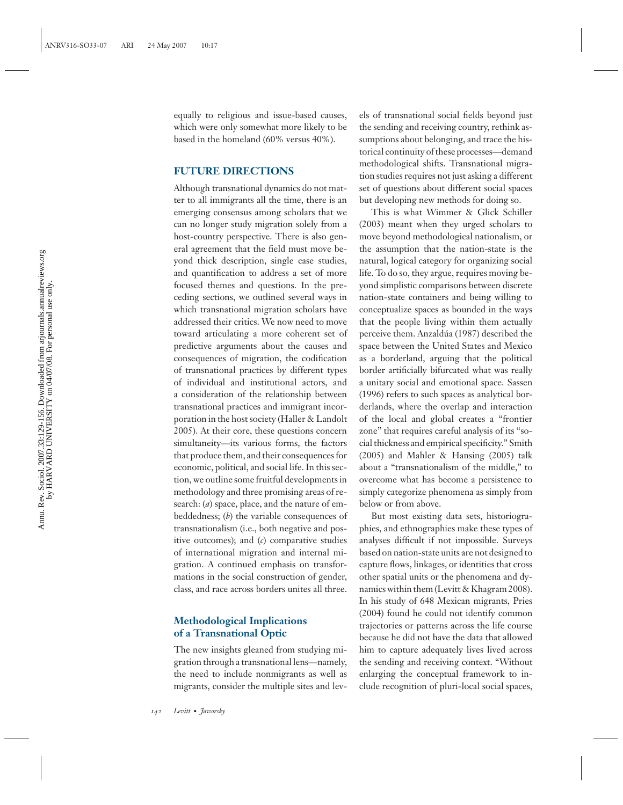equally to religious and issue-based causes, which were only somewhat more likely to be based in the homeland (60% versus 40%).

#### **FUTURE DIRECTIONS**

Although transnational dynamics do not matter to all immigrants all the time, there is an emerging consensus among scholars that we can no longer study migration solely from a host-country perspective. There is also general agreement that the field must move beyond thick description, single case studies, and quantification to address a set of more focused themes and questions. In the preceding sections, we outlined several ways in which transnational migration scholars have addressed their critics. We now need to move toward articulating a more coherent set of predictive arguments about the causes and consequences of migration, the codification of transnational practices by different types of individual and institutional actors, and a consideration of the relationship between transnational practices and immigrant incorporation in the host society (Haller & Landolt 2005). At their core, these questions concern simultaneity—its various forms, the factors that produce them, and their consequences for economic, political, and social life. In this section, we outline some fruitful developments in methodology and three promising areas of research: (*a*) space, place, and the nature of embeddedness; (*b*) the variable consequences of transnationalism (i.e., both negative and positive outcomes); and (*c*) comparative studies of international migration and internal migration. A continued emphasis on transformations in the social construction of gender, class, and race across borders unites all three.

#### **Methodological Implications of a Transnational Optic**

The new insights gleaned from studying migration through a transnational lens—namely, the need to include nonmigrants as well as migrants, consider the multiple sites and levels of transnational social fields beyond just the sending and receiving country, rethink assumptions about belonging, and trace the historical continuity of these processes—demand methodological shifts. Transnational migration studies requires not just asking a different set of questions about different social spaces but developing new methods for doing so.

This is what Wimmer & Glick Schiller (2003) meant when they urged scholars to move beyond methodological nationalism, or the assumption that the nation-state is the natural, logical category for organizing social life. To do so, they argue, requires moving beyond simplistic comparisons between discrete nation-state containers and being willing to conceptualize spaces as bounded in the ways that the people living within them actually perceive them. Anzaldúa (1987) described the space between the United States and Mexico as a borderland, arguing that the political border artificially bifurcated what was really a unitary social and emotional space. Sassen (1996) refers to such spaces as analytical borderlands, where the overlap and interaction of the local and global creates a "frontier zone" that requires careful analysis of its "social thickness and empirical specificity." Smith (2005) and Mahler & Hansing (2005) talk about a "transnationalism of the middle," to overcome what has become a persistence to simply categorize phenomena as simply from below or from above.

But most existing data sets, historiographies, and ethnographies make these types of analyses difficult if not impossible. Surveys based on nation-state units are not designed to capture flows, linkages, or identities that cross other spatial units or the phenomena and dynamics within them (Levitt & Khagram 2008). In his study of 648 Mexican migrants, Pries (2004) found he could not identify common trajectories or patterns across the life course because he did not have the data that allowed him to capture adequately lives lived across the sending and receiving context. "Without enlarging the conceptual framework to include recognition of pluri-local social spaces,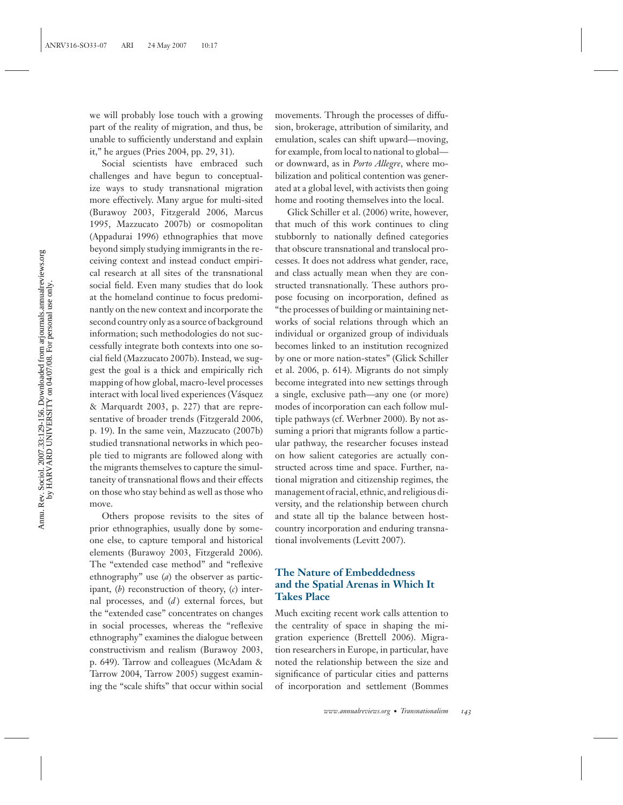we will probably lose touch with a growing part of the reality of migration, and thus, be unable to sufficiently understand and explain it," he argues (Pries 2004, pp. 29, 31).

Social scientists have embraced such challenges and have begun to conceptualize ways to study transnational migration more effectively. Many argue for multi-sited (Burawoy 2003, Fitzgerald 2006, Marcus 1995, Mazzucato 2007b) or cosmopolitan (Appadurai 1996) ethnographies that move beyond simply studying immigrants in the receiving context and instead conduct empirical research at all sites of the transnational social field. Even many studies that do look at the homeland continue to focus predominantly on the new context and incorporate the second country only as a source of background information; such methodologies do not successfully integrate both contexts into one social field (Mazzucato 2007b). Instead, we suggest the goal is a thick and empirically rich mapping of how global, macro-level processes interact with local lived experiences (Vásquez & Marquardt 2003, p. 227) that are representative of broader trends (Fitzgerald 2006, p. 19). In the same vein, Mazzucato (2007b) studied transnational networks in which people tied to migrants are followed along with the migrants themselves to capture the simultaneity of transnational flows and their effects on those who stay behind as well as those who move.

Others propose revisits to the sites of prior ethnographies, usually done by someone else, to capture temporal and historical elements (Burawoy 2003, Fitzgerald 2006). The "extended case method" and "reflexive ethnography" use (*a*) the observer as participant, (*b*) reconstruction of theory, (*c*) internal processes, and (*d*) external forces, but the "extended case" concentrates on changes in social processes, whereas the "reflexive ethnography" examines the dialogue between constructivism and realism (Burawoy 2003, p. 649). Tarrow and colleagues (McAdam & Tarrow 2004, Tarrow 2005) suggest examining the "scale shifts" that occur within social

movements. Through the processes of diffusion, brokerage, attribution of similarity, and emulation, scales can shift upward—moving, for example, from local to national to global or downward, as in *Porto Allegre*, where mobilization and political contention was generated at a global level, with activists then going home and rooting themselves into the local.

Glick Schiller et al. (2006) write, however, that much of this work continues to cling stubbornly to nationally defined categories that obscure transnational and translocal processes. It does not address what gender, race, and class actually mean when they are constructed transnationally. These authors propose focusing on incorporation, defined as "the processes of building or maintaining networks of social relations through which an individual or organized group of individuals becomes linked to an institution recognized by one or more nation-states" (Glick Schiller et al. 2006, p. 614). Migrants do not simply become integrated into new settings through a single, exclusive path—any one (or more) modes of incorporation can each follow multiple pathways (cf. Werbner 2000). By not assuming a priori that migrants follow a particular pathway, the researcher focuses instead on how salient categories are actually constructed across time and space. Further, national migration and citizenship regimes, the management of racial, ethnic, and religious diversity, and the relationship between church and state all tip the balance between hostcountry incorporation and enduring transnational involvements (Levitt 2007).

## **The Nature of Embeddedness and the Spatial Arenas in Which It Takes Place**

Much exciting recent work calls attention to the centrality of space in shaping the migration experience (Brettell 2006). Migration researchers in Europe, in particular, have noted the relationship between the size and significance of particular cities and patterns of incorporation and settlement (Bommes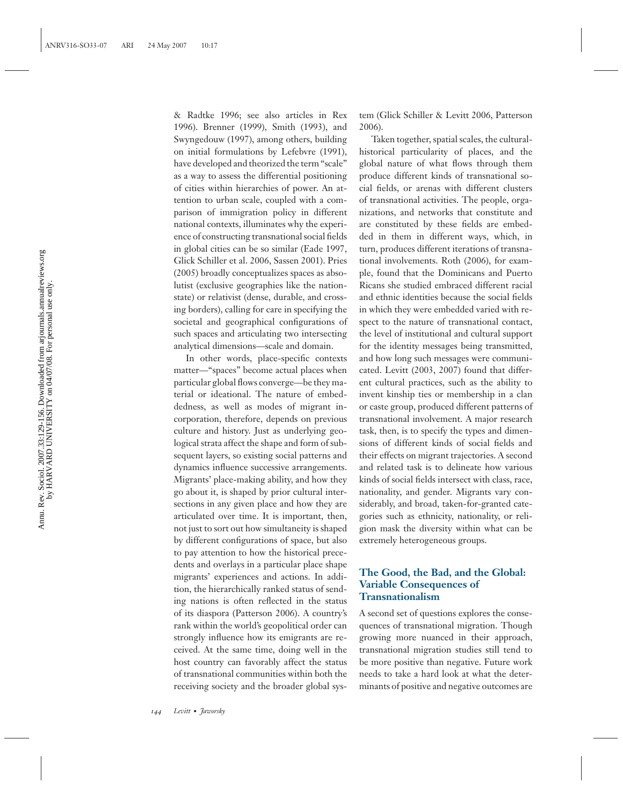& Radtke 1996; see also articles in Rex 1996). Brenner (1999), Smith (1993), and Swyngedouw (1997), among others, building on initial formulations by Lefebvre (1991), have developed and theorized the term "scale" as a way to assess the differential positioning of cities within hierarchies of power. An attention to urban scale, coupled with a comparison of immigration policy in different national contexts, illuminates why the experience of constructing transnational social fields in global cities can be so similar (Eade 1997, Glick Schiller et al. 2006, Sassen 2001). Pries (2005) broadly conceptualizes spaces as absolutist (exclusive geographies like the nationstate) or relativist (dense, durable, and crossing borders), calling for care in specifying the societal and geographical configurations of such spaces and articulating two intersecting analytical dimensions—scale and domain.

In other words, place-specific contexts matter—"spaces" become actual places when particular global flows converge—be they material or ideational. The nature of embeddedness, as well as modes of migrant incorporation, therefore, depends on previous culture and history. Just as underlying geological strata affect the shape and form of subsequent layers, so existing social patterns and dynamics influence successive arrangements. Migrants' place-making ability, and how they go about it, is shaped by prior cultural intersections in any given place and how they are articulated over time. It is important, then, not just to sort out how simultaneity is shaped by different configurations of space, but also to pay attention to how the historical precedents and overlays in a particular place shape migrants' experiences and actions. In addition, the hierarchically ranked status of sending nations is often reflected in the status of its diaspora (Patterson 2006). A country's rank within the world's geopolitical order can strongly influence how its emigrants are received. At the same time, doing well in the host country can favorably affect the status of transnational communities within both the receiving society and the broader global system (Glick Schiller & Levitt 2006, Patterson 2006).

Taken together, spatial scales, the culturalhistorical particularity of places, and the global nature of what flows through them produce different kinds of transnational social fields, or arenas with different clusters of transnational activities. The people, organizations, and networks that constitute and are constituted by these fields are embedded in them in different ways, which, in turn, produces different iterations of transnational involvements. Roth (2006), for example, found that the Dominicans and Puerto Ricans she studied embraced different racial and ethnic identities because the social fields in which they were embedded varied with respect to the nature of transnational contact, the level of institutional and cultural support for the identity messages being transmitted, and how long such messages were communicated. Levitt (2003, 2007) found that different cultural practices, such as the ability to invent kinship ties or membership in a clan or caste group, produced different patterns of transnational involvement. A major research task, then, is to specify the types and dimensions of different kinds of social fields and their effects on migrant trajectories. A second and related task is to delineate how various kinds of social fields intersect with class, race, nationality, and gender. Migrants vary considerably, and broad, taken-for-granted categories such as ethnicity, nationality, or religion mask the diversity within what can be extremely heterogeneous groups.

## **The Good, the Bad, and the Global: Variable Consequences of Transnationalism**

A second set of questions explores the consequences of transnational migration. Though growing more nuanced in their approach, transnational migration studies still tend to be more positive than negative. Future work needs to take a hard look at what the determinants of positive and negative outcomes are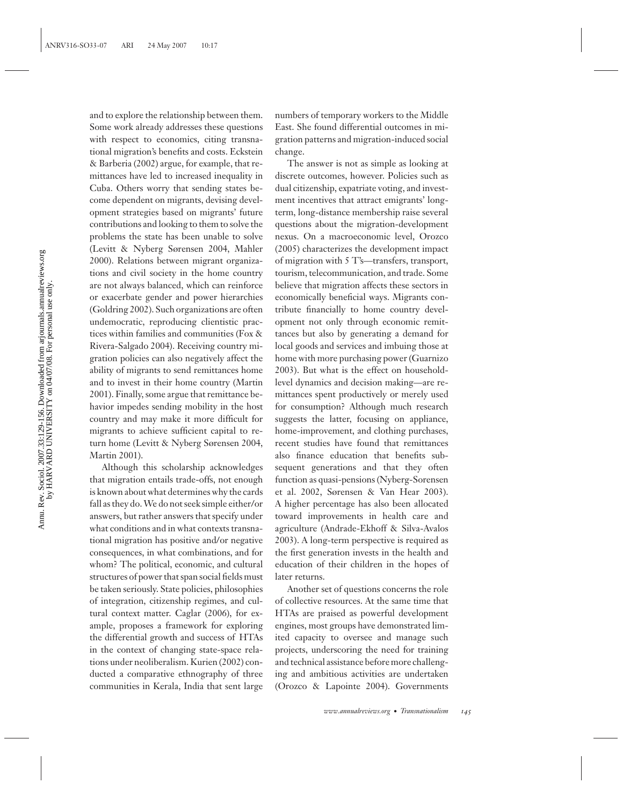and to explore the relationship between them. Some work already addresses these questions with respect to economics, citing transnational migration's benefits and costs. Eckstein & Barberia (2002) argue, for example, that remittances have led to increased inequality in Cuba. Others worry that sending states become dependent on migrants, devising development strategies based on migrants' future contributions and looking to them to solve the problems the state has been unable to solve (Levitt & Nyberg Sørensen 2004, Mahler 2000). Relations between migrant organizations and civil society in the home country are not always balanced, which can reinforce or exacerbate gender and power hierarchies (Goldring 2002). Such organizations are often undemocratic, reproducing clientistic practices within families and communities (Fox & Rivera-Salgado 2004). Receiving country migration policies can also negatively affect the ability of migrants to send remittances home and to invest in their home country (Martin 2001). Finally, some argue that remittance behavior impedes sending mobility in the host country and may make it more difficult for migrants to achieve sufficient capital to return home (Levitt & Nyberg Sørensen 2004, Martin 2001).

Although this scholarship acknowledges that migration entails trade-offs, not enough is known about what determines why the cards fall as they do. We do not seek simple either/or answers, but rather answers that specify under what conditions and in what contexts transnational migration has positive and/or negative consequences, in what combinations, and for whom? The political, economic, and cultural structures of power that span social fields must be taken seriously. State policies, philosophies of integration, citizenship regimes, and cultural context matter. Caglar (2006), for example, proposes a framework for exploring the differential growth and success of HTAs in the context of changing state-space relations under neoliberalism. Kurien (2002) conducted a comparative ethnography of three communities in Kerala, India that sent large

numbers of temporary workers to the Middle East. She found differential outcomes in migration patterns and migration-induced social change.

The answer is not as simple as looking at discrete outcomes, however. Policies such as dual citizenship, expatriate voting, and investment incentives that attract emigrants' longterm, long-distance membership raise several questions about the migration-development nexus. On a macroeconomic level, Orozco (2005) characterizes the development impact of migration with 5 T's—transfers, transport, tourism, telecommunication, and trade. Some believe that migration affects these sectors in economically beneficial ways. Migrants contribute financially to home country development not only through economic remittances but also by generating a demand for local goods and services and imbuing those at home with more purchasing power (Guarnizo 2003). But what is the effect on householdlevel dynamics and decision making—are remittances spent productively or merely used for consumption? Although much research suggests the latter, focusing on appliance, home-improvement, and clothing purchases, recent studies have found that remittances also finance education that benefits subsequent generations and that they often function as quasi-pensions (Nyberg-Sorensen et al. 2002, Sørensen & Van Hear 2003). A higher percentage has also been allocated toward improvements in health care and agriculture (Andrade-Ekhoff & Silva-Avalos 2003). A long-term perspective is required as the first generation invests in the health and education of their children in the hopes of later returns.

Another set of questions concerns the role of collective resources. At the same time that HTAs are praised as powerful development engines, most groups have demonstrated limited capacity to oversee and manage such projects, underscoring the need for training and technical assistance before more challenging and ambitious activities are undertaken (Orozco & Lapointe 2004). Governments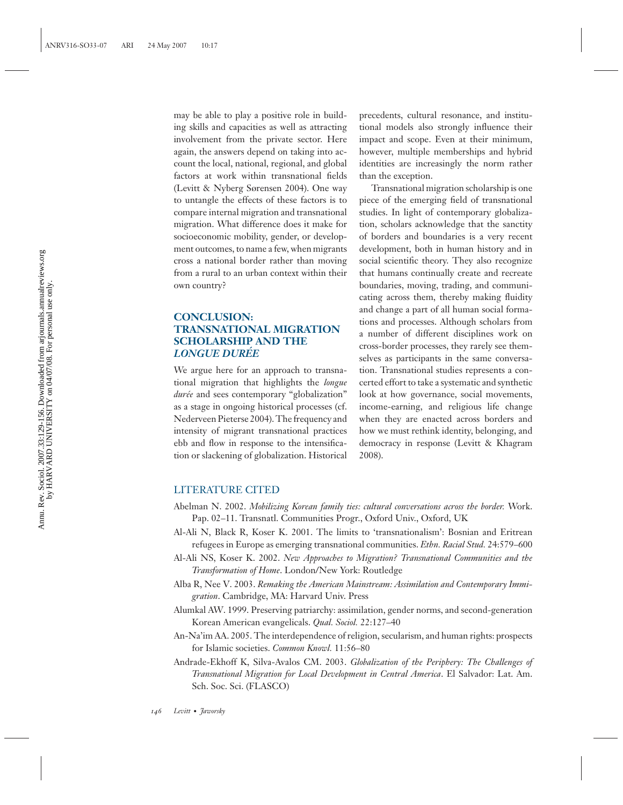may be able to play a positive role in building skills and capacities as well as attracting involvement from the private sector. Here again, the answers depend on taking into account the local, national, regional, and global factors at work within transnational fields (Levitt & Nyberg Sørensen 2004). One way to untangle the effects of these factors is to compare internal migration and transnational migration. What difference does it make for socioeconomic mobility, gender, or development outcomes, to name a few, when migrants cross a national border rather than moving from a rural to an urban context within their own country?

## **CONCLUSION: TRANSNATIONAL MIGRATION SCHOLARSHIP AND THE** *LONGUE DUREE´*

We argue here for an approach to transnational migration that highlights the *longue durée* and sees contemporary "globalization" as a stage in ongoing historical processes (cf. Nederveen Pieterse 2004). The frequency and intensity of migrant transnational practices ebb and flow in response to the intensification or slackening of globalization. Historical

precedents, cultural resonance, and institutional models also strongly influence their impact and scope. Even at their minimum, however, multiple memberships and hybrid identities are increasingly the norm rather than the exception.

Transnational migration scholarship is one piece of the emerging field of transnational studies. In light of contemporary globalization, scholars acknowledge that the sanctity of borders and boundaries is a very recent development, both in human history and in social scientific theory. They also recognize that humans continually create and recreate boundaries, moving, trading, and communicating across them, thereby making fluidity and change a part of all human social formations and processes. Although scholars from a number of different disciplines work on cross-border processes, they rarely see themselves as participants in the same conversation. Transnational studies represents a concerted effort to take a systematic and synthetic look at how governance, social movements, income-earning, and religious life change when they are enacted across borders and how we must rethink identity, belonging, and democracy in response (Levitt & Khagram 2008).

#### LITERATURE CITED

- Abelman N. 2002. *Mobilizing Korean family ties: cultural conversations across the border.* Work. Pap. 02–11. Transnatl. Communities Progr., Oxford Univ., Oxford, UK
- Al-Ali N, Black R, Koser K. 2001. The limits to 'transnationalism': Bosnian and Eritrean refugees in Europe as emerging transnational communities. *Ethn. Racial Stud.* 24:579–600
- Al-Ali NS, Koser K. 2002. *New Approaches to Migration? Transnational Communities and the Transformation of Home*. London/New York: Routledge
- Alba R, Nee V. 2003. *Remaking the American Mainstream: Assimilation and Contemporary Immigration*. Cambridge, MA: Harvard Univ. Press
- Alumkal AW. 1999. Preserving patriarchy: assimilation, gender norms, and second-generation Korean American evangelicals. *Qual. Sociol.* 22:127–40
- An-Na'im AA. 2005. The interdependence of religion, secularism, and human rights: prospects for Islamic societies. *Common Knowl.* 11:56–80
- Andrade-Ekhoff K, Silva-Avalos CM. 2003. *Globalization of the Periphery: The Challenges of Transnational Migration for Local Development in Central America*. El Salvador: Lat. Am. Sch. Soc. Sci. (FLASCO)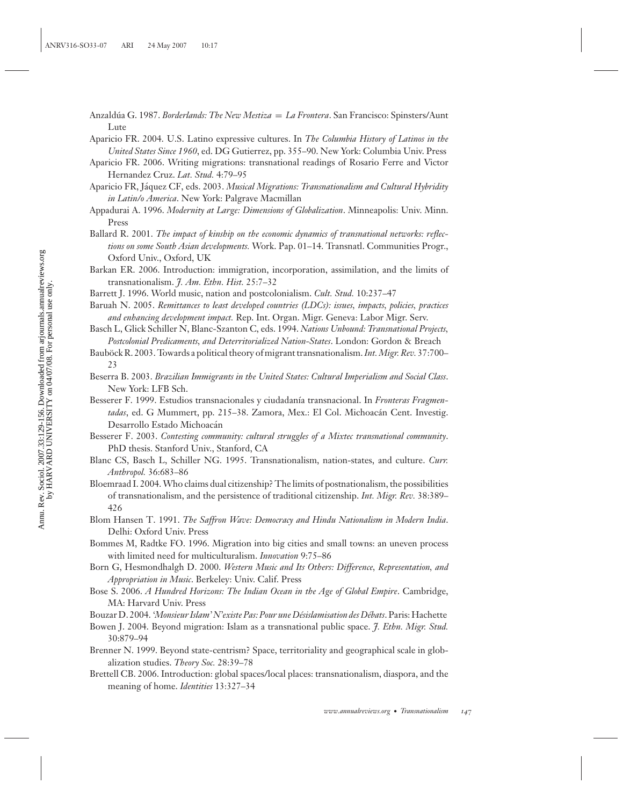- Anzaldúa G. 1987. *Borderlands: The New Mestiza* = *La Frontera*. San Francisco: Spinsters/Aunt **Lute**
- Aparicio FR. 2004. U.S. Latino expressive cultures. In *The Columbia History of Latinos in the United States Since 1960*, ed. DG Gutierrez, pp. 355–90. New York: Columbia Univ. Press
- Aparicio FR. 2006. Writing migrations: transnational readings of Rosario Ferre and Victor Hernandez Cruz. *Lat. Stud.* 4:79–95
- Aparicio FR, Jáquez CF, eds. 2003. *Musical Migrations: Transnationalism and Cultural Hybridity in Latin/o America*. New York: Palgrave Macmillan
- Appadurai A. 1996. *Modernity at Large: Dimensions of Globalization*. Minneapolis: Univ. Minn. Press
- Ballard R. 2001. *The impact of kinship on the economic dynamics of transnational networks: reflections on some South Asian developments.* Work. Pap. 01–14. Transnatl. Communities Progr., Oxford Univ., Oxford, UK
- Barkan ER. 2006. Introduction: immigration, incorporation, assimilation, and the limits of transnationalism. *J. Am. Ethn. Hist.* 25:7–32
- Barrett J. 1996. World music, nation and postcolonialism. *Cult. Stud.* 10:237–47
- Baruah N. 2005. *Remittances to least developed countries (LDCs): issues, impacts, policies, practices and enhancing development impact.* Rep. Int. Organ. Migr. Geneva: Labor Migr. Serv.
- Basch L, Glick Schiller N, Blanc-Szanton C, eds. 1994. *Nations Unbound: Transnational Projects, Postcolonial Predicaments, and Deterritorialized Nation-States*. London: Gordon & Breach
- Bauböck R. 2003. Towards a political theory of migrant transnationalism. *Int. Migr. Rev.* 37:700– 23
- Beserra B. 2003. *Brazilian Immigrants in the United States: Cultural Imperialism and Social Class*. New York: LFB Sch.
- Besserer F. 1999. Estudios transnacionales y ciudadanía transnacional. In *Fronteras Fragmen*tadas, ed. G Mummert, pp. 215-38. Zamora, Mex.: El Col. Michoacán Cent. Investig. Desarrollo Estado Michoacán
- Besserer F. 2003. *Contesting community: cultural struggles of a Mixtec transnational community*. PhD thesis. Stanford Univ., Stanford, CA
- Blanc CS, Basch L, Schiller NG. 1995. Transnationalism, nation-states, and culture. *Curr. Anthropol.* 36:683–86
- Bloemraad I. 2004. Who claims dual citizenship? The limits of postnationalism, the possibilities of transnationalism, and the persistence of traditional citizenship. *Int. Migr. Rev.* 38:389– 426
- Blom Hansen T. 1991. *The Saffron Wave: Democracy and Hindu Nationalism in Modern India*. Delhi: Oxford Univ. Press
- Bommes M, Radtke FO. 1996. Migration into big cities and small towns: an uneven process with limited need for multiculturalism. *Innovation* 9:75–86
- Born G, Hesmondhalgh D. 2000. *Western Music and Its Others: Difference, Representation, and Appropriation in Music*. Berkeley: Univ. Calif. Press
- Bose S. 2006. *A Hundred Horizons: The Indian Ocean in the Age of Global Empire*. Cambridge, MA: Harvard Univ. Press
- Bouzar D. 2004. 'Monsieur Islam' N'existe Pas: Pour une Désislamisation des Débats. Paris: Hachette
- Bowen J. 2004. Beyond migration: Islam as a transnational public space. *J. Ethn. Migr. Stud.* 30:879–94
- Brenner N. 1999. Beyond state-centrism? Space, territoriality and geographical scale in globalization studies. *Theory Soc.* 28:39–78
- Brettell CB. 2006. Introduction: global spaces/local places: transnationalism, diaspora, and the meaning of home. *Identities* 13:327–34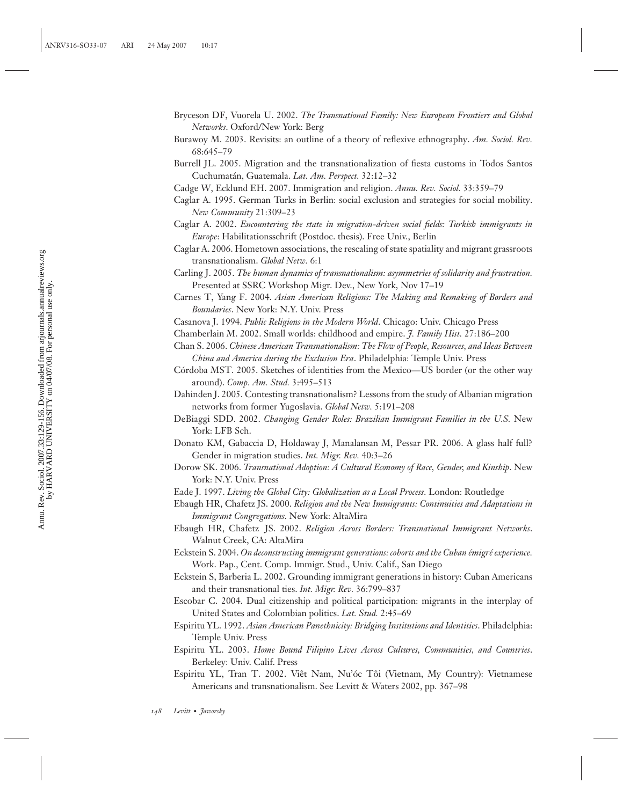- Bryceson DF, Vuorela U. 2002. *The Transnational Family: New European Frontiers and Global Networks*. Oxford/New York: Berg
- Burawoy M. 2003. Revisits: an outline of a theory of reflexive ethnography. *Am. Sociol. Rev.* 68:645–79
- Burrell JL. 2005. Migration and the transnationalization of fiesta customs in Todos Santos Cuchumatan, Guatemala. ´ *Lat. Am. Perspect.* 32:12–32
- Cadge W, Ecklund EH. 2007. Immigration and religion. *Annu. Rev. Sociol.* 33:359–79
- Caglar A. 1995. German Turks in Berlin: social exclusion and strategies for social mobility. *New Community* 21:309–23
- Caglar A. 2002. *Encountering the state in migration-driven social fields: Turkish immigrants in Europe*: Habilitationsschrift (Postdoc. thesis). Free Univ., Berlin
- Caglar A. 2006. Hometown associations, the rescaling of state spatiality and migrant grassroots transnationalism. *Global Netw.* 6:1
- Carling J. 2005. *The human dynamics of transnationalism: asymmetries of solidarity and frustration.* Presented at SSRC Workshop Migr. Dev., New York, Nov 17–19
- Carnes T, Yang F. 2004. *Asian American Religions: The Making and Remaking of Borders and Boundaries*. New York: N.Y. Univ. Press
- Casanova J. 1994. *Public Religions in the Modern World*. Chicago: Univ. Chicago Press
- Chamberlain M. 2002. Small worlds: childhood and empire. *J. Family Hist.* 27:186–200
- Chan S. 2006. *Chinese American Transnationalism: The Flow of People, Resources, and Ideas Between China and America during the Exclusion Era*. Philadelphia: Temple Univ. Press
- Córdoba MST. 2005. Sketches of identities from the Mexico—US border (or the other way around). *Comp. Am. Stud.* 3:495–513
- Dahinden J. 2005. Contesting transnationalism? Lessons from the study of Albanian migration networks from former Yugoslavia. *Global Netw.* 5:191–208
- DeBiaggi SDD. 2002. *Changing Gender Roles: Brazilian Immigrant Families in the U.S.* New York: LFB Sch.
- Donato KM, Gabaccia D, Holdaway J, Manalansan M, Pessar PR. 2006. A glass half full? Gender in migration studies. *Int. Migr. Rev.* 40:3–26
- Dorow SK. 2006. *Transnational Adoption: A Cultural Economy of Race, Gender, and Kinship*. New York: N.Y. Univ. Press
- Eade J. 1997. *Living the Global City: Globalization as a Local Process*. London: Routledge
- Ebaugh HR, Chafetz JS. 2000. *Religion and the New Immigrants: Continuities and Adaptations in Immigrant Congregations*. New York: AltaMira
- Ebaugh HR, Chafetz JS. 2002. *Religion Across Borders: Transnational Immigrant Networks*. Walnut Creek, CA: AltaMira
- Eckstein S. 2004. On deconstructing immigrant generations: cohorts and the Cuban émigré experience. Work. Pap., Cent. Comp. Immigr. Stud., Univ. Calif., San Diego
- Eckstein S, Barberia L. 2002. Grounding immigrant generations in history: Cuban Americans and their transnational ties. *Int. Migr. Rev.* 36:799–837
- Escobar C. 2004. Dual citizenship and political participation: migrants in the interplay of United States and Colombian politics. *Lat. Stud.* 2:45–69
- Espiritu YL. 1992. *Asian American Panethnicity: Bridging Institutions and Identities*. Philadelphia: Temple Univ. Press
- Espiritu YL. 2003. *Home Bound Filipino Lives Across Cultures, Communities, and Countries*. Berkeley: Univ. Calif. Press
- Espiritu YL, Tran T. 2002. Viêt Nam, Nu'óc Tôi (Vietnam, My Country): Vietnamese Americans and transnationalism. See Levitt & Waters 2002, pp. 367–98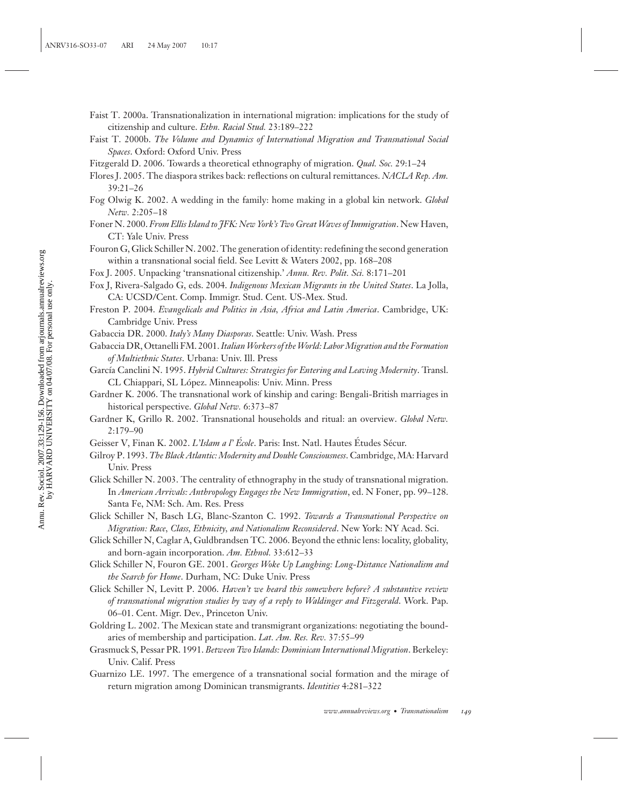- Faist T. 2000a. Transnationalization in international migration: implications for the study of citizenship and culture. *Ethn. Racial Stud.* 23:189–222
- Faist T. 2000b. *The Volume and Dynamics of International Migration and Transnational Social Spaces*. Oxford: Oxford Univ. Press
- Fitzgerald D. 2006. Towards a theoretical ethnography of migration. *Qual. Soc.* 29:1–24
- Flores J. 2005. The diaspora strikes back: reflections on cultural remittances. *NACLA Rep. Am.* 39:21–26
- Fog Olwig K. 2002. A wedding in the family: home making in a global kin network. *Global Netw.* 2:205–18
- Foner N. 2000. *From Ellis Island to JFK: New York's Two Great Waves of Immigration*. New Haven, CT: Yale Univ. Press
- Fouron G, Glick Schiller N. 2002. The generation of identity: redefining the second generation within a transnational social field. See Levitt & Waters 2002, pp. 168–208
- Fox J. 2005. Unpacking 'transnational citizenship.' *Annu. Rev. Polit. Sci.* 8:171–201
- Fox J, Rivera-Salgado G, eds. 2004. *Indigenous Mexican Migrants in the United States*. La Jolla, CA: UCSD/Cent. Comp. Immigr. Stud. Cent. US-Mex. Stud.
- Freston P. 2004. *Evangelicals and Politics in Asia, Africa and Latin America*. Cambridge, UK: Cambridge Univ. Press
- Gabaccia DR. 2000. *Italy's Many Diasporas*. Seattle: Univ. Wash. Press
- Gabaccia DR, Ottanelli FM. 2001.*Italian Workers of the World: Labor Migration and the Formation of Multiethnic States*. Urbana: Univ. Ill. Press
- García Canclini N. 1995. *Hybrid Cultures: Strategies for Entering and Leaving Modernity*. Transl. CL Chiappari, SL Lopez. Minneapolis: Univ. Minn. Press ´
- Gardner K. 2006. The transnational work of kinship and caring: Bengali-British marriages in historical perspective. *Global Netw.* 6:373–87
- Gardner K, Grillo R. 2002. Transnational households and ritual: an overview. *Global Netw.* 2:179–90
- Geisser V, Finan K. 2002. *L'Islam a l' Ecole*. Paris: Inst. Natl. Hautes Etudes Sécur.
- Gilroy P. 1993. *The Black Atlantic: Modernity and Double Consciousness*. Cambridge, MA: Harvard Univ. Press
- Glick Schiller N. 2003. The centrality of ethnography in the study of transnational migration. In *American Arrivals: Anthropology Engages the New Immigration*, ed. N Foner, pp. 99–128. Santa Fe, NM: Sch. Am. Res. Press
- Glick Schiller N, Basch LG, Blanc-Szanton C. 1992. *Towards a Transnational Perspective on Migration: Race, Class, Ethnicity, and Nationalism Reconsidered*. New York: NY Acad. Sci.
- Glick Schiller N, Caglar A, Guldbrandsen TC. 2006. Beyond the ethnic lens: locality, globality, and born-again incorporation. *Am. Ethnol.* 33:612–33
- Glick Schiller N, Fouron GE. 2001. *Georges Woke Up Laughing: Long-Distance Nationalism and the Search for Home*. Durham, NC: Duke Univ. Press
- Glick Schiller N, Levitt P. 2006. *Haven't we heard this somewhere before? A substantive review of transnational migration studies by way of a reply to Waldinger and Fitzgerald*. Work. Pap. 06–01. Cent. Migr. Dev., Princeton Univ.
- Goldring L. 2002. The Mexican state and transmigrant organizations: negotiating the boundaries of membership and participation. *Lat. Am. Res. Rev.* 37:55–99
- Grasmuck S, Pessar PR. 1991. *Between Two Islands: Dominican International Migration*. Berkeley: Univ. Calif. Press
- Guarnizo LE. 1997. The emergence of a transnational social formation and the mirage of return migration among Dominican transmigrants. *Identities* 4:281–322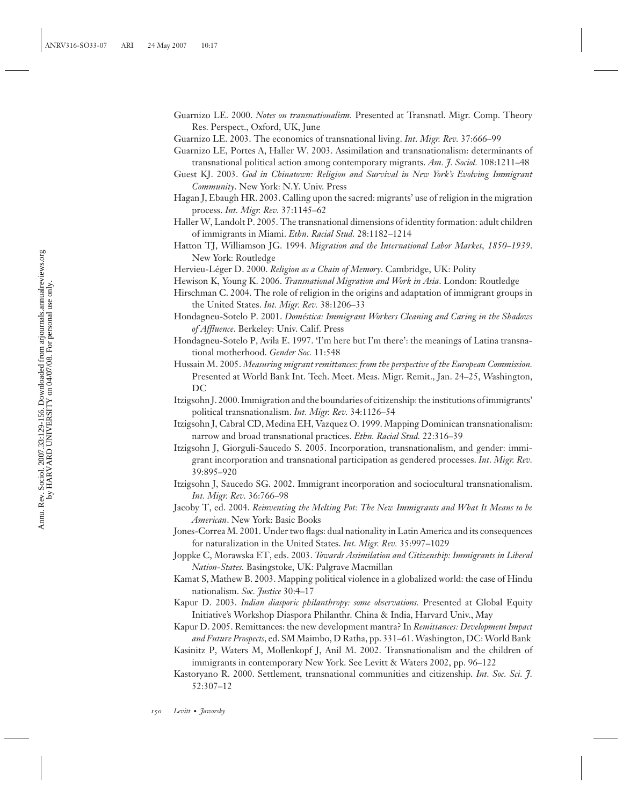- Guarnizo LE. 2000. *Notes on transnationalism.* Presented at Transnatl. Migr. Comp. Theory Res. Perspect., Oxford, UK, June
- Guarnizo LE. 2003. The economics of transnational living. *Int. Migr. Rev.* 37:666–99
- Guarnizo LE, Portes A, Haller W. 2003. Assimilation and transnationalism: determinants of transnational political action among contemporary migrants. *Am. J. Sociol.* 108:1211–48
- Guest KJ. 2003. *God in Chinatown: Religion and Survival in New York's Evolving Immigrant Community*. New York: N.Y. Univ. Press
- Hagan J, Ebaugh HR. 2003. Calling upon the sacred: migrants' use of religion in the migration process. *Int. Migr. Rev.* 37:1145–62
- Haller W, Landolt P. 2005. The transnational dimensions of identity formation: adult children of immigrants in Miami. *Ethn. Racial Stud.* 28:1182–1214
- Hatton TJ, Williamson JG. 1994. *Migration and the International Labor Market, 1850–1939*. New York: Routledge
- Hervieu-Léger D. 2000. Religion as a Chain of Memory. Cambridge, UK: Polity
- Hewison K, Young K. 2006. *Transnational Migration and Work in Asia*. London: Routledge
- Hirschman C. 2004. The role of religion in the origins and adaptation of immigrant groups in the United States. *Int. Migr. Rev.* 38:1206–33
- Hondagneu-Sotelo P. 2001. *Dom´estica: Immigrant Workers Cleaning and Caring in the Shadows of Affluence*. Berkeley: Univ. Calif. Press
- Hondagneu-Sotelo P, Avila E. 1997. 'I'm here but I'm there': the meanings of Latina transnational motherhood. *Gender Soc.* 11:548
- Hussain M. 2005. *Measuring migrant remittances: from the perspective of the European Commission.* Presented at World Bank Int. Tech. Meet. Meas. Migr. Remit., Jan. 24–25, Washington, DC
- Itzigsohn J. 2000. Immigration and the boundaries of citizenship: the institutions of immigrants' political transnationalism. *Int. Migr. Rev.* 34:1126–54
- Itzigsohn J, Cabral CD, Medina EH, Vazquez O. 1999. Mapping Dominican transnationalism: narrow and broad transnational practices. *Ethn. Racial Stud.* 22:316–39
- Itzigsohn J, Giorguli-Saucedo S. 2005. Incorporation, transnationalism, and gender: immigrant incorporation and transnational participation as gendered processes. *Int. Migr. Rev.* 39:895–920
- Itzigsohn J, Saucedo SG. 2002. Immigrant incorporation and sociocultural transnationalism. *Int. Migr. Rev.* 36:766–98
- Jacoby T, ed. 2004. *Reinventing the Melting Pot: The New Immigrants and What It Means to be American*. New York: Basic Books
- Jones-Correa M. 2001. Under two flags: dual nationality in Latin America and its consequences for naturalization in the United States. *Int. Migr. Rev.* 35:997–1029
- Joppke C, Morawska ET, eds. 2003. *Towards Assimilation and Citizenship: Immigrants in Liberal Nation-States.* Basingstoke, UK: Palgrave Macmillan
- Kamat S, Mathew B. 2003. Mapping political violence in a globalized world: the case of Hindu nationalism. *Soc. Justice* 30:4–17
- Kapur D. 2003. *Indian diasporic philanthropy: some observations.* Presented at Global Equity Initiative's Workshop Diaspora Philanthr. China & India, Harvard Univ., May
- Kapur D. 2005. Remittances: the new development mantra? In *Remittances: Development Impact and Future Prospects*, ed. SM Maimbo, D Ratha, pp. 331–61. Washington, DC: World Bank
- Kasinitz P, Waters M, Mollenkopf J, Anil M. 2002. Transnationalism and the children of immigrants in contemporary New York. See Levitt & Waters 2002, pp. 96–122
- Kastoryano R. 2000. Settlement, transnational communities and citizenship. *Int. Soc. Sci. J.* 52:307–12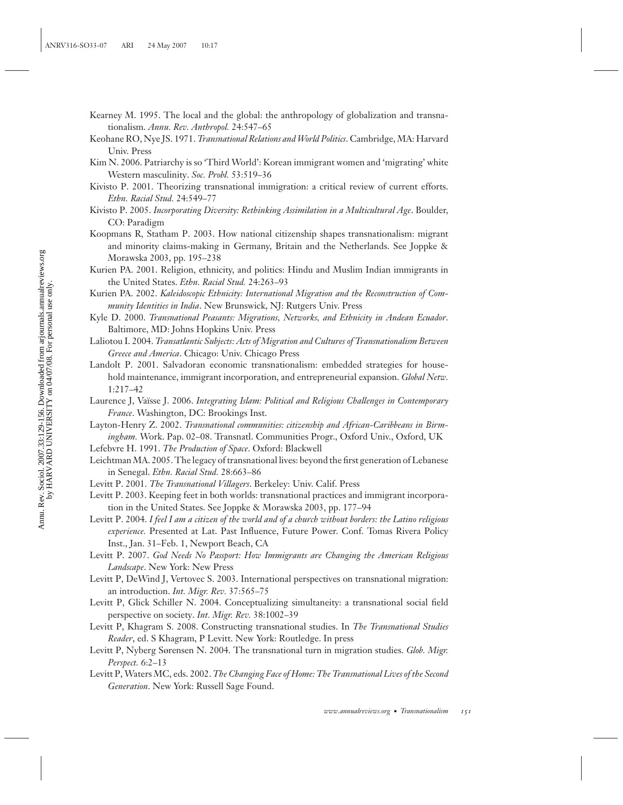- Kearney M. 1995. The local and the global: the anthropology of globalization and transnationalism. *Annu. Rev. Anthropol.* 24:547–65
- Keohane RO, Nye JS. 1971. *Transnational Relations and World Politics*. Cambridge, MA: Harvard Univ. Press
- Kim N. 2006. Patriarchy is so 'Third World': Korean immigrant women and 'migrating' white Western masculinity. *Soc. Probl.* 53:519–36
- Kivisto P. 2001. Theorizing transnational immigration: a critical review of current efforts. *Ethn. Racial Stud.* 24:549–77
- Kivisto P. 2005. *Incorporating Diversity: Rethinking Assimilation in a Multicultural Age*. Boulder, CO: Paradigm
- Koopmans R, Statham P. 2003. How national citizenship shapes transnationalism: migrant and minority claims-making in Germany, Britain and the Netherlands. See Joppke & Morawska 2003, pp. 195–238
- Kurien PA. 2001. Religion, ethnicity, and politics: Hindu and Muslim Indian immigrants in the United States. *Ethn. Racial Stud.* 24:263–93

Kurien PA. 2002. *Kaleidoscopic Ethnicity: International Migration and the Reconstruction of Community Identities in India*. New Brunswick, NJ: Rutgers Univ. Press

- Kyle D. 2000. *Transnational Peasants: Migrations, Networks, and Ethnicity in Andean Ecuador*. Baltimore, MD: Johns Hopkins Univ. Press
- Laliotou I. 2004. *Transatlantic Subjects: Acts of Migration and Cultures of Transnationalism Between Greece and America*. Chicago: Univ. Chicago Press
- Landolt P. 2001. Salvadoran economic transnationalism: embedded strategies for household maintenance, immigrant incorporation, and entrepreneurial expansion. *Global Netw.* 1:217–42
- Laurence J, Vaïsse J. 2006. *Integrating Islam: Political and Religious Challenges in Contemporary France*. Washington, DC: Brookings Inst.

Layton-Henry Z. 2002. *Transnational communities: citizenship and African-Caribbeans in Birmingham.* Work. Pap. 02–08. Transnatl. Communities Progr., Oxford Univ., Oxford, UK

Lefebvre H. 1991. *The Production of Space*. Oxford: Blackwell

- Leichtman MA. 2005. The legacy of transnational lives: beyond the first generation of Lebanese in Senegal. *Ethn. Racial Stud.* 28:663–86
- Levitt P. 2001. *The Transnational Villagers*. Berkeley: Univ. Calif. Press
- Levitt P. 2003. Keeping feet in both worlds: transnational practices and immigrant incorporation in the United States. See Joppke & Morawska 2003, pp. 177–94

Levitt P. 2004. *I feel I am a citizen of the world and of a church without borders: the Latino religious experience.* Presented at Lat. Past Influence, Future Power. Conf. Tomas Rivera Policy Inst., Jan. 31–Feb. 1, Newport Beach, CA

- Levitt P. 2007. *God Needs No Passport: How Immigrants are Changing the American Religious Landscape*. New York: New Press
- Levitt P, DeWind J, Vertovec S. 2003. International perspectives on transnational migration: an introduction. *Int. Migr. Rev.* 37:565–75
- Levitt P, Glick Schiller N. 2004. Conceptualizing simultaneity: a transnational social field perspective on society. *Int. Migr. Rev.* 38:1002–39
- Levitt P, Khagram S. 2008. Constructing transnational studies. In *The Transnational Studies Reader*, ed. S Khagram, P Levitt. New York: Routledge. In press
- Levitt P, Nyberg Sørensen N. 2004. The transnational turn in migration studies. *Glob. Migr. Perspect.* 6:2–13
- Levitt P, Waters MC, eds. 2002. *The Changing Face of Home: The Transnational Lives of the Second Generation*. New York: Russell Sage Found.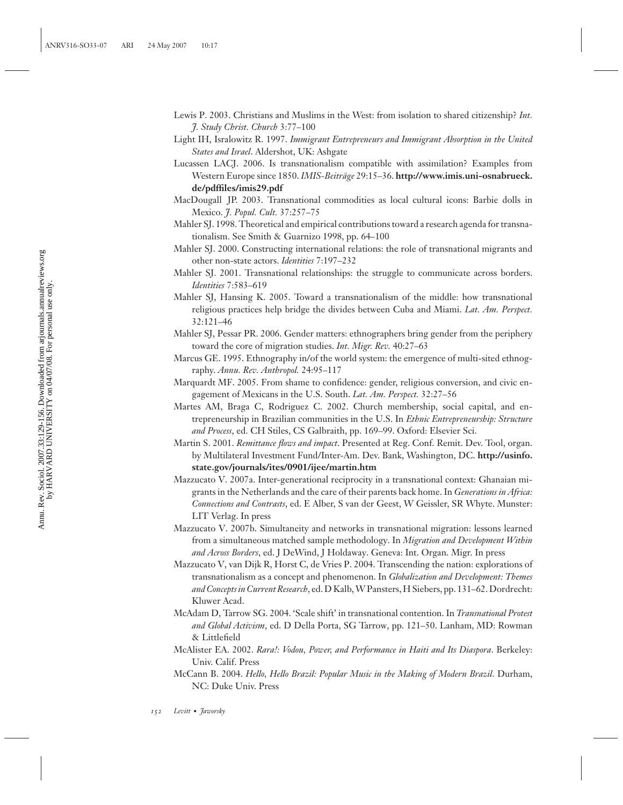- Lewis P. 2003. Christians and Muslims in the West: from isolation to shared citizenship? *Int. J. Study Christ. Church* 3:77–100
- Light IH, Isralowitz R. 1997. *Immigrant Entrepreneurs and Immigrant Absorption in the United States and Israel*. Aldershot, UK: Ashgate
- Lucassen LACJ. 2006. Is transnationalism compatible with assimilation? Examples from Western Europe since 1850. *IMIS-Beiträge* 29:15–36. **http://www.imis.uni-osnabrueck. de/pdffiles/imis29.pdf**
- MacDougall JP. 2003. Transnational commodities as local cultural icons: Barbie dolls in Mexico. *J. Popul. Cult.* 37:257–75
- Mahler SJ. 1998. Theoretical and empirical contributions toward a research agenda for transnationalism. See Smith & Guarnizo 1998, pp. 64–100
- Mahler SJ. 2000. Constructing international relations: the role of transnational migrants and other non-state actors. *Identities* 7:197–232
- Mahler SJ. 2001. Transnational relationships: the struggle to communicate across borders. *Identities* 7:583–619
- Mahler SJ, Hansing K. 2005. Toward a transnationalism of the middle: how transnational religious practices help bridge the divides between Cuba and Miami. *Lat. Am. Perspect.* 32:121–46
- Mahler SJ, Pessar PR. 2006. Gender matters: ethnographers bring gender from the periphery toward the core of migration studies. *Int. Migr. Rev.* 40:27–63
- Marcus GE. 1995. Ethnography in/of the world system: the emergence of multi-sited ethnography. *Annu. Rev. Anthropol.* 24:95–117
- Marquardt MF. 2005. From shame to confidence: gender, religious conversion, and civic engagement of Mexicans in the U.S. South. *Lat. Am. Perspect.* 32:27–56
- Martes AM, Braga C, Rodriguez C. 2002. Church membership, social capital, and entrepreneurship in Brazilian communities in the U.S. In *Ethnic Entrepreneurship: Structure and Process*, ed. CH Stiles, CS Galbraith, pp. 169–99. Oxford: Elsevier Sci.
- Martin S. 2001. *Remittance flows and impact*. Presented at Reg. Conf. Remit. Dev. Tool, organ. by Multilateral Investment Fund/Inter-Am. Dev. Bank, Washington, DC. **http://usinfo. state.gov/journals/ites/0901/ijee/martin.htm**
- Mazzucato V. 2007a. Inter-generational reciprocity in a transnational context: Ghanaian migrants in the Netherlands and the care of their parents back home. In *Generations in Africa: Connections and Contrasts*, ed. E Alber, S van der Geest, W Geissler, SR Whyte. Munster: LIT Verlag. In press
- Mazzucato V. 2007b. Simultaneity and networks in transnational migration: lessons learned from a simultaneous matched sample methodology. In *Migration and Development Within and Across Borders*, ed. J DeWind, J Holdaway. Geneva: Int. Organ. Migr. In press
- Mazzucato V, van Dijk R, Horst C, de Vries P. 2004. Transcending the nation: explorations of transnationalism as a concept and phenomenon. In *Globalization and Development: Themes and Concepts in Current Research*, ed. D Kalb, W Pansters, H Siebers, pp. 131–62. Dordrecht: Kluwer Acad.
- McAdam D, Tarrow SG. 2004. 'Scale shift' in transnational contention. In *Transnational Protest and Global Activism*, ed. D Della Porta, SG Tarrow, pp. 121–50. Lanham, MD: Rowman & Littlefield
- McAlister EA. 2002. *Rara!: Vodou, Power, and Performance in Haiti and Its Diaspora*. Berkeley: Univ. Calif. Press
- McCann B. 2004. *Hello, Hello Brazil: Popular Music in the Making of Modern Brazil*. Durham, NC: Duke Univ. Press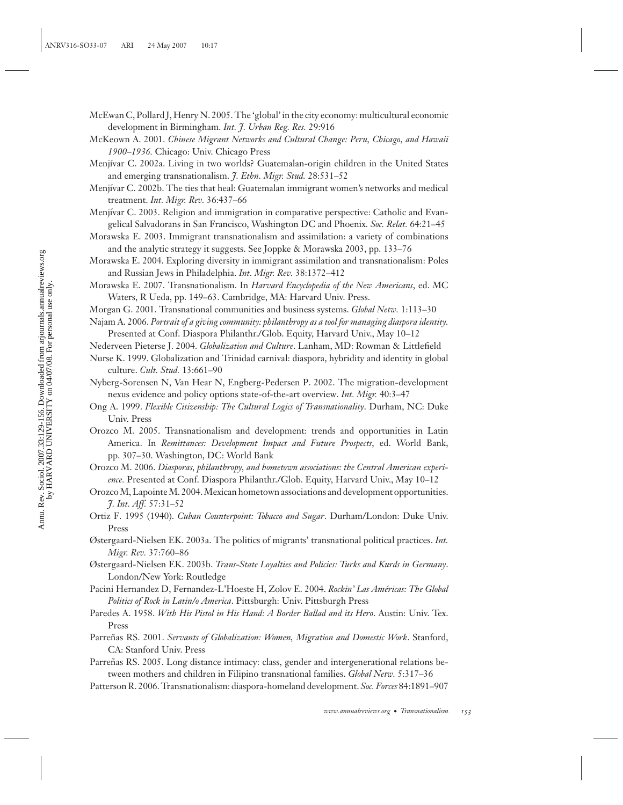McEwan C, Pollard J, Henry N. 2005. The 'global' in the city economy: multicultural economic development in Birmingham. *Int. J. Urban Reg. Res.* 29:916

McKeown A. 2001. *Chinese Migrant Networks and Cultural Change: Peru, Chicago, and Hawaii 1900–1936.* Chicago: Univ. Chicago Press

- Menjívar C. 2002a. Living in two worlds? Guatemalan-origin children in the United States and emerging transnationalism. *J. Ethn. Migr. Stud.* 28:531–52
- Menjívar C. 2002b. The ties that heal: Guatemalan immigrant women's networks and medical treatment. *Int. Migr. Rev.* 36:437–66
- Menjívar C. 2003. Religion and immigration in comparative perspective: Catholic and Evangelical Salvadorans in San Francisco, Washington DC and Phoenix. *Soc. Relat.* 64:21–45
- Morawska E. 2003. Immigrant transnationalism and assimilation: a variety of combinations and the analytic strategy it suggests. See Joppke & Morawska 2003, pp. 133–76
- Morawska E. 2004. Exploring diversity in immigrant assimilation and transnationalism: Poles and Russian Jews in Philadelphia. *Int. Migr. Rev.* 38:1372–412
- Morawska E. 2007. Transnationalism. In *Harvard Encyclopedia of the New Americans*, ed. MC Waters, R Ueda, pp. 149–63. Cambridge, MA: Harvard Univ. Press.
- Morgan G. 2001. Transnational communities and business systems. *Global Netw.* 1:113–30
- Najam A. 2006. *Portrait of a giving community: philanthropy as a tool for managing diaspora identity.* Presented at Conf. Diaspora Philanthr./Glob. Equity, Harvard Univ., May 10–12

Nederveen Pieterse J. 2004. *Globalization and Culture*. Lanham, MD: Rowman & Littlefield

- Nurse K. 1999. Globalization and Trinidad carnival: diaspora, hybridity and identity in global culture. *Cult. Stud.* 13:661–90
- Nyberg-Sorensen N, Van Hear N, Engberg-Pedersen P. 2002. The migration-development nexus evidence and policy options state-of-the-art overview. *Int. Migr.* 40:3–47
- Ong A. 1999. *Flexible Citizenship: The Cultural Logics of Transnationality*. Durham, NC: Duke Univ. Press
- Orozco M. 2005. Transnationalism and development: trends and opportunities in Latin America. In *Remittances: Development Impact and Future Prospects*, ed. World Bank, pp. 307–30. Washington, DC: World Bank
- Orozco M. 2006. *Diasporas, philanthropy, and hometown associations: the Central American experience.* Presented at Conf. Diaspora Philanthr./Glob. Equity, Harvard Univ., May 10–12
- Orozco M, Lapointe M. 2004. Mexican hometown associations and development opportunities. *J. Int. Aff.* 57:31–52
- Ortiz F. 1995 (1940). *Cuban Counterpoint: Tobacco and Sugar*. Durham/London: Duke Univ. Press
- Østergaard-Nielsen EK. 2003a. The politics of migrants' transnational political practices. *Int. Migr. Rev.* 37:760–86
- Østergaard-Nielsen EK. 2003b. *Trans-State Loyalties and Policies: Turks and Kurds in Germany*. London/New York: Routledge
- Pacini Hernandez D, Fernandez-L'Hoeste H, Zolov E. 2004. *Rockin' Las Am´ericas: The Global Politics of Rock in Latin/o America*. Pittsburgh: Univ. Pittsburgh Press
- Paredes A. 1958. *With His Pistol in His Hand: A Border Ballad and its Hero*. Austin: Univ. Tex. Press
- Parreñas RS. 2001. Servants of Globalization: Women, Migration and Domestic Work. Stanford, CA: Stanford Univ. Press
- Parrenas RS. 2005. Long distance intimacy: class, gender and intergenerational relations between mothers and children in Filipino transnational families. *Global Netw.* 5:317–36
- Patterson R. 2006. Transnationalism: diaspora-homeland development. *Soc. Forces* 84:1891–907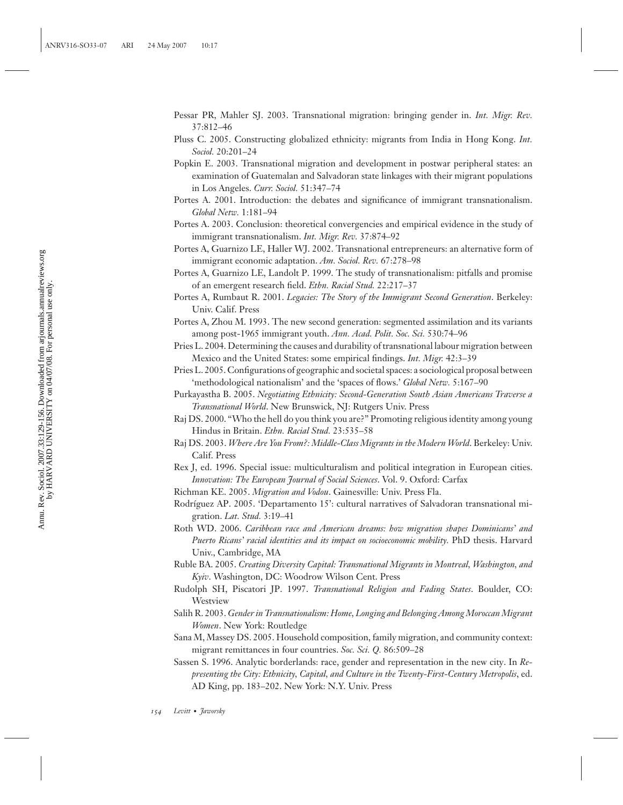- Pessar PR, Mahler SJ. 2003. Transnational migration: bringing gender in. *Int. Migr. Rev.* 37:812–46
- Pluss C. 2005. Constructing globalized ethnicity: migrants from India in Hong Kong. *Int. Sociol.* 20:201–24
- Popkin E. 2003. Transnational migration and development in postwar peripheral states: an examination of Guatemalan and Salvadoran state linkages with their migrant populations in Los Angeles. *Curr. Sociol.* 51:347–74
- Portes A. 2001. Introduction: the debates and significance of immigrant transnationalism. *Global Netw.* 1:181–94
- Portes A. 2003. Conclusion: theoretical convergencies and empirical evidence in the study of immigrant transnationalism. *Int. Migr. Rev.* 37:874–92
- Portes A, Guarnizo LE, Haller WJ. 2002. Transnational entrepreneurs: an alternative form of immigrant economic adaptation. *Am. Sociol. Rev.* 67:278–98
- Portes A, Guarnizo LE, Landolt P. 1999. The study of transnationalism: pitfalls and promise of an emergent research field. *Ethn. Racial Stud.* 22:217–37
- Portes A, Rumbaut R. 2001. *Legacies: The Story of the Immigrant Second Generation*. Berkeley: Univ. Calif. Press
- Portes A, Zhou M. 1993. The new second generation: segmented assimilation and its variants among post-1965 immigrant youth. *Ann. Acad. Polit. Soc. Sci.* 530:74–96
- Pries L. 2004. Determining the causes and durability of transnational labour migration between Mexico and the United States: some empirical findings. *Int. Migr.* 42:3–39
- Pries L. 2005. Configurations of geographic and societal spaces: a sociological proposal between 'methodological nationalism' and the 'spaces of flows.' *Global Netw.* 5:167–90
- Purkayastha B. 2005. *Negotiating Ethnicity: Second-Generation South Asian Americans Traverse a Transnational World*. New Brunswick, NJ: Rutgers Univ. Press
- Raj DS. 2000. "Who the hell do you think you are?" Promoting religious identity among young Hindus in Britain. *Ethn. Racial Stud.* 23:535–58
- Raj DS. 2003. *Where Are You From?: Middle-Class Migrants in the Modern World*. Berkeley: Univ. Calif. Press
- Rex J, ed. 1996. Special issue: multiculturalism and political integration in European cities. *Innovation: The European Journal of Social Sciences*. Vol. 9. Oxford: Carfax
- Richman KE. 2005. *Migration and Vodou*. Gainesville: Univ. Press Fla.
- Rodríguez AP. 2005. 'Departamento 15': cultural narratives of Salvadoran transnational migration. *Lat. Stud.* 3:19–41
- Roth WD. 2006. *Caribbean race and American dreams: how migration shapes Dominicans' and Puerto Ricans' racial identities and its impact on socioeconomic mobility.* PhD thesis. Harvard Univ., Cambridge, MA
- Ruble BA. 2005. *Creating Diversity Capital: Transnational Migrants in Montreal, Washington, and Kyiv*. Washington, DC: Woodrow Wilson Cent. Press
- Rudolph SH, Piscatori JP. 1997. *Transnational Religion and Fading States*. Boulder, CO: Westview
- Salih R. 2003. *Gender in Transnationalism: Home, Longing and Belonging Among Moroccan Migrant Women*. New York: Routledge
- Sana M, Massey DS. 2005. Household composition, family migration, and community context: migrant remittances in four countries. *Soc. Sci. Q.* 86:509–28
- Sassen S. 1996. Analytic borderlands: race, gender and representation in the new city. In *Representing the City: Ethnicity, Capital, and Culture in the Twenty-First-Century Metropolis*, ed. AD King, pp. 183–202. New York: N.Y. Univ. Press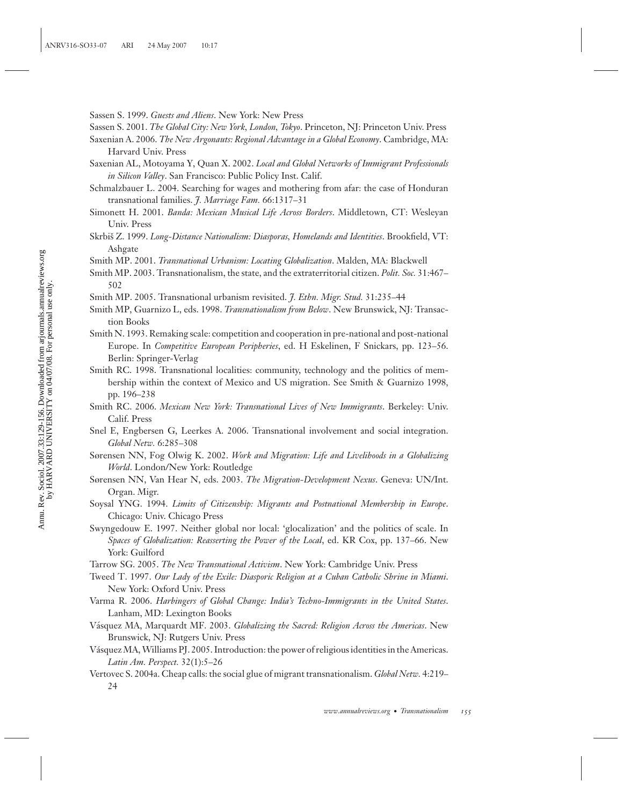- Sassen S. 1999. *Guests and Aliens*. New York: New Press
- Sassen S. 2001. *The Global City: New York, London, Tokyo*. Princeton, NJ: Princeton Univ. Press
- Saxenian A. 2006. *The New Argonauts: Regional Advantage in a Global Economy*. Cambridge, MA: Harvard Univ. Press
- Saxenian AL, Motoyama Y, Quan X. 2002. *Local and Global Networks of Immigrant Professionals in Silicon Valley*. San Francisco: Public Policy Inst. Calif.
- Schmalzbauer L. 2004. Searching for wages and mothering from afar: the case of Honduran transnational families. *J. Marriage Fam.* 66:1317–31
- Simonett H. 2001. *Banda: Mexican Musical Life Across Borders*. Middletown, CT: Wesleyan Univ. Press
- Skrbiš Z. 1999. Long-Distance Nationalism: Diasporas, Homelands and Identities. Brookfield, VT: Ashgate
- Smith MP. 2001. *Transnational Urbanism: Locating Globalization*. Malden, MA: Blackwell
- Smith MP. 2003. Transnationalism, the state, and the extraterritorial citizen. *Polit. Soc.* 31:467– 502
- Smith MP. 2005. Transnational urbanism revisited. *J. Ethn. Migr. Stud.* 31:235–44
- Smith MP, Guarnizo L, eds. 1998. *Transnationalism from Below*. New Brunswick, NJ: Transaction Books
- Smith N. 1993. Remaking scale: competition and cooperation in pre-national and post-national Europe. In *Competitive European Peripheries*, ed. H Eskelinen, F Snickars, pp. 123–56. Berlin: Springer-Verlag
- Smith RC. 1998. Transnational localities: community, technology and the politics of membership within the context of Mexico and US migration. See Smith & Guarnizo 1998, pp. 196–238
- Smith RC. 2006. *Mexican New York: Transnational Lives of New Immigrants*. Berkeley: Univ. Calif. Press
- Snel E, Engbersen G, Leerkes A. 2006. Transnational involvement and social integration. *Global Netw.* 6:285–308
- Sørensen NN, Fog Olwig K. 2002. *Work and Migration: Life and Livelihoods in a Globalizing World*. London/New York: Routledge
- Sørensen NN, Van Hear N, eds. 2003. *The Migration-Development Nexus*. Geneva: UN/Int. Organ. Migr.
- Soysal YNG. 1994. *Limits of Citizenship: Migrants and Postnational Membership in Europe*. Chicago: Univ. Chicago Press
- Swyngedouw E. 1997. Neither global nor local: 'glocalization' and the politics of scale. In *Spaces of Globalization: Reasserting the Power of the Local*, ed. KR Cox, pp. 137–66. New York: Guilford
- Tarrow SG. 2005. *The New Transnational Activism*. New York: Cambridge Univ. Press
- Tweed T. 1997. *Our Lady of the Exile: Diasporic Religion at a Cuban Catholic Shrine in Miami*. New York: Oxford Univ. Press
- Varma R. 2006. *Harbingers of Global Change: India's Techno-Immigrants in the United States*. Lanham, MD: Lexington Books
- Vásquez MA, Marquardt MF. 2003. Globalizing the Sacred: Religion Across the Americas. New Brunswick, NJ: Rutgers Univ. Press
- Vásquez MA, Williams PJ. 2005. Introduction: the power of religious identities in the Americas. *Latin Am. Perspect.* 32(1):5–26
- Vertovec S. 2004a. Cheap calls: the social glue of migrant transnationalism. *Global Netw.* 4:219– 24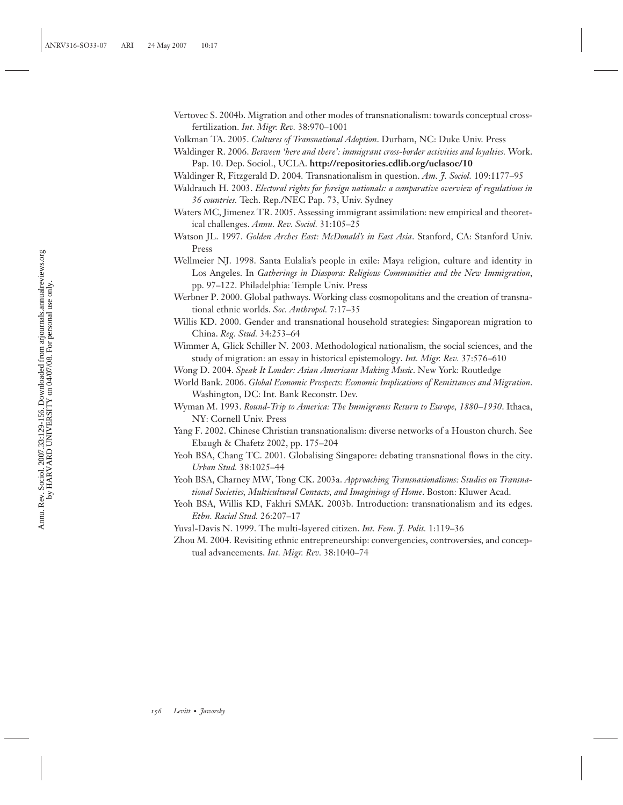- Vertovec S. 2004b. Migration and other modes of transnationalism: towards conceptual crossfertilization. *Int. Migr. Rev.* 38:970–1001
- Volkman TA. 2005. *Cultures of Transnational Adoption*. Durham, NC: Duke Univ. Press
- Waldinger R. 2006. *Between 'here and there': immigrant cross-border activities and loyalties.* Work. Pap. 10. Dep. Sociol., UCLA. **http://repositories.cdlib.org/uclasoc/10**
- Waldinger R, Fitzgerald D. 2004. Transnationalism in question. *Am. J. Sociol.* 109:1177–95
- Waldrauch H. 2003. *Electoral rights for foreign nationals: a comparative overview of regulations in 36 countries.* Tech. Rep./NEC Pap. 73, Univ. Sydney
- Waters MC, Jimenez TR. 2005. Assessing immigrant assimilation: new empirical and theoretical challenges. *Annu. Rev. Sociol.* 31:105–25
- Watson JL. 1997. *Golden Arches East: McDonald's in East Asia*. Stanford, CA: Stanford Univ. Press
- Wellmeier NJ. 1998. Santa Eulalia's people in exile: Maya religion, culture and identity in Los Angeles. In *Gatherings in Diaspora: Religious Communities and the New Immigration*, pp. 97–122. Philadelphia: Temple Univ. Press
- Werbner P. 2000. Global pathways. Working class cosmopolitans and the creation of transnational ethnic worlds. *Soc. Anthropol.* 7:17–35
- Willis KD. 2000. Gender and transnational household strategies: Singaporean migration to China. *Reg. Stud.* 34:253–64
- Wimmer A, Glick Schiller N. 2003. Methodological nationalism, the social sciences, and the study of migration: an essay in historical epistemology. *Int. Migr. Rev.* 37:576–610
- Wong D. 2004. *Speak It Louder: Asian Americans Making Music*. New York: Routledge
- World Bank. 2006. *Global Economic Prospects: Economic Implications of Remittances and Migration*. Washington, DC: Int. Bank Reconstr. Dev.
- Wyman M. 1993. *Round-Trip to America: The Immigrants Return to Europe, 1880–1930*. Ithaca, NY: Cornell Univ. Press
- Yang F. 2002. Chinese Christian transnationalism: diverse networks of a Houston church. See Ebaugh & Chafetz 2002, pp. 175–204
- Yeoh BSA, Chang TC. 2001. Globalising Singapore: debating transnational flows in the city. *Urban Stud.* 38:1025–44
- Yeoh BSA, Charney MW, Tong CK. 2003a. *Approaching Transnationalisms: Studies on Transnational Societies, Multicultural Contacts, and Imaginings of Home*. Boston: Kluwer Acad.
- Yeoh BSA, Willis KD, Fakhri SMAK. 2003b. Introduction: transnationalism and its edges. *Ethn. Racial Stud.* 26:207–17
- Yuval-Davis N. 1999. The multi-layered citizen. *Int. Fem. J. Polit.* 1:119–36
- Zhou M. 2004. Revisiting ethnic entrepreneurship: convergencies, controversies, and conceptual advancements. *Int. Migr. Rev.* 38:1040–74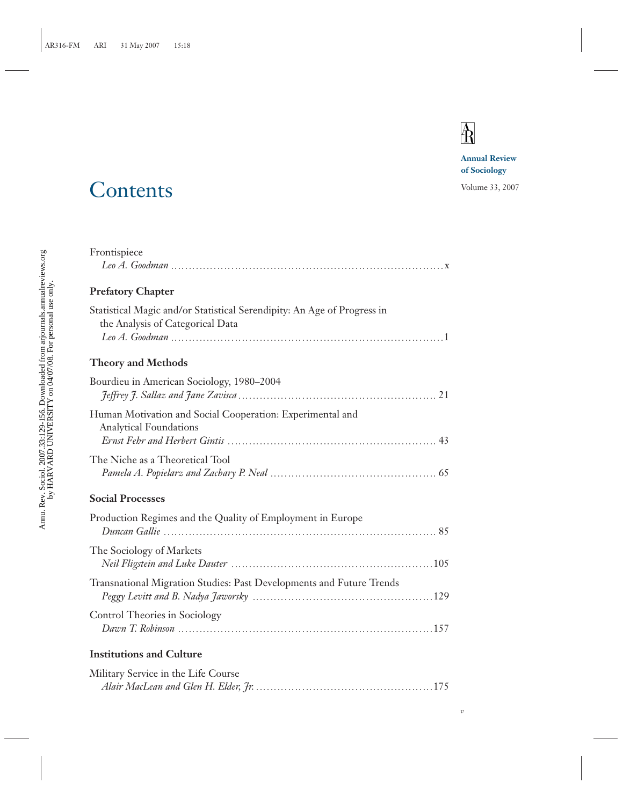# $\mathbf{\hat{R}}$

*v*

**Annual Review of Sociology**

## Contents Volume 33, 2007

| Frontispiece                                                                                                |
|-------------------------------------------------------------------------------------------------------------|
|                                                                                                             |
| <b>Prefatory Chapter</b>                                                                                    |
| Statistical Magic and/or Statistical Serendipity: An Age of Progress in<br>the Analysis of Categorical Data |
| <b>Theory and Methods</b>                                                                                   |
| Bourdieu in American Sociology, 1980-2004                                                                   |
| Human Motivation and Social Cooperation: Experimental and<br><b>Analytical Foundations</b>                  |
| The Niche as a Theoretical Tool                                                                             |
| <b>Social Processes</b>                                                                                     |
| Production Regimes and the Quality of Employment in Europe                                                  |
| The Sociology of Markets                                                                                    |
| Transnational Migration Studies: Past Developments and Future Trends                                        |
| Control Theories in Sociology                                                                               |
| <b>Institutions and Culture</b>                                                                             |
| Military Service in the Life Course                                                                         |

*Alair MacLean and Glen H. Elder, Jr.* **♣♣♣♣♣♣♣♣♣♣♣♣♣♣♣♣♣♣♣♣♣♣♣♣♣♣♣♣♣♣♣♣♣♣♣♣♣♣♣♣♣♣♣♣♣♣♣♣♣♣**175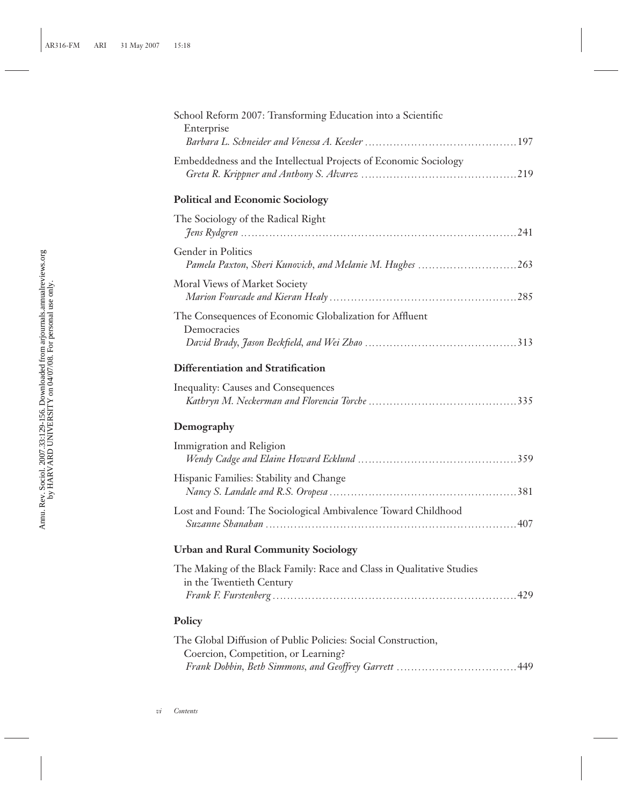| School Reform 2007: Transforming Education into a Scientific<br>Enterprise                           |
|------------------------------------------------------------------------------------------------------|
|                                                                                                      |
| Embeddedness and the Intellectual Projects of Economic Sociology                                     |
| <b>Political and Economic Sociology</b>                                                              |
| The Sociology of the Radical Right                                                                   |
| <b>Gender</b> in Politics<br>Pamela Paxton, Sheri Kunovich, and Melanie M. Hughes 263                |
| Moral Views of Market Society                                                                        |
| The Consequences of Economic Globalization for Affluent<br>Democracies                               |
|                                                                                                      |
| Differentiation and Stratification                                                                   |
| Inequality: Causes and Consequences                                                                  |
| Demography                                                                                           |
| Immigration and Religion                                                                             |
| Hispanic Families: Stability and Change                                                              |
| Lost and Found: The Sociological Ambivalence Toward Childhood                                        |
| <b>Urban and Rural Community Sociology</b>                                                           |
| The Making of the Black Family: Race and Class in Qualitative Studies<br>in the Twentieth Century    |
| Policy                                                                                               |
| The Global Diffusion of Public Policies: Social Construction,<br>Coercion, Competition, or Learning? |
|                                                                                                      |